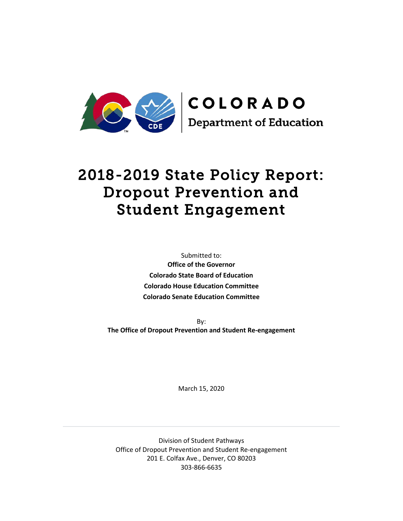

# 2018-2019 State Policy Report: Dropout Prevention and Student Engagement

Submitted to: **Office of the Governor Colorado State Board of Education Colorado House Education Committee Colorado Senate Education Committee**

By: **The Office of Dropout Prevention and Student Re-engagement**

March 15, 2020

Division of Student Pathways Office of Dropout Prevention and Student Re-engagement 201 E. Colfax Ave., Denver, CO 80203 303-866-6635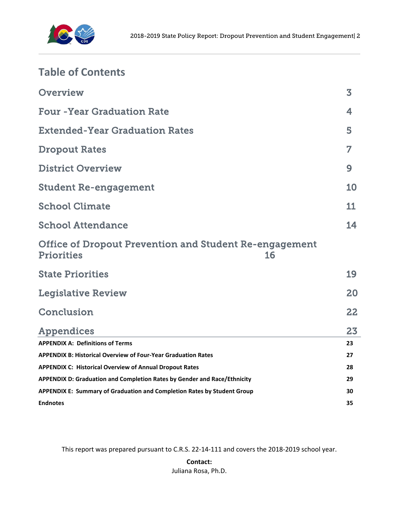

| <b>Table of Contents</b>                                                                 |                         |
|------------------------------------------------------------------------------------------|-------------------------|
| <b>Overview</b>                                                                          | $\overline{\mathbf{3}}$ |
| <b>Four -Year Graduation Rate</b>                                                        | 4                       |
| <b>Extended-Year Graduation Rates</b>                                                    | 5                       |
| <b>Dropout Rates</b>                                                                     | 7                       |
| <b>District Overview</b>                                                                 | 9                       |
| <b>Student Re-engagement</b>                                                             | 10                      |
| <b>School Climate</b>                                                                    | 11                      |
| <b>School Attendance</b>                                                                 | 14                      |
| <b>Office of Dropout Prevention and Student Re-engagement</b><br><b>Priorities</b><br>16 |                         |
| <b>State Priorities</b>                                                                  | 19                      |
| <b>Legislative Review</b>                                                                | 20                      |
| Conclusion                                                                               | 22                      |
| Appendices                                                                               | 23                      |
| <b>APPENDIX A: Definitions of Terms</b>                                                  | 23                      |
| <b>APPENDIX B: Historical Overview of Four-Year Graduation Rates</b>                     | 27                      |
| <b>APPENDIX C: Historical Overview of Annual Dropout Rates</b>                           | 28                      |
| APPENDIX D: Graduation and Completion Rates by Gender and Race/Ethnicity                 | 29                      |
| APPENDIX E: Summary of Graduation and Completion Rates by Student Group                  | 30                      |
| <b>Endnotes</b>                                                                          | 35                      |

This report was prepared pursuant to C.R.S. 22-14-111 and covers the 2018-2019 school year.

**Contact:**  Juliana Rosa, Ph.D.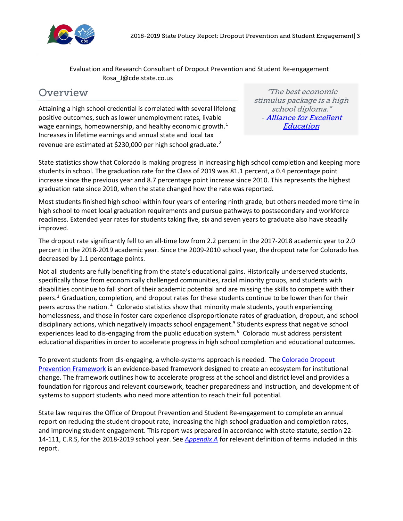

Evaluation and Research Consultant of Dropout Prevention and Student Re-engagement Rosa\_J@cde.state.co.us

## <span id="page-2-0"></span>**Overview**

Attaining a high school credential is correlated with several lifelong positive outcomes, such as lower unemployment rates, livable wage earnings, homeownership, and healthy economic growth.<sup>[1](#page-34-0)</sup> Increases in lifetime earnings and annual state and local tax revenue are estimated at \$230,000 per high school graduate.<sup>2</sup>

"The best economic stimulus package is a high school diploma." - [Alliance for Excellent](https://all4ed.org/reports-factsheets/the-economic-benefits-of-increasing-the-high-school-graduation-rate-for-public-school-students-in-colorado/)  **[Education](https://all4ed.org/reports-factsheets/the-economic-benefits-of-increasing-the-high-school-graduation-rate-for-public-school-students-in-colorado/)** 

State statistics show that Colorado is making progress in increasing high school completion and keeping more students in school. The graduation rate for the Class of 2019 was 81.1 percent, a 0.4 percentage point increase since the previous year and 8.7 percentage point increase since 2010. This represents the highest graduation rate since 2010, when the state changed how the rate was reported.

Most students finished high school within four years of entering ninth grade, but others needed more time in high school to meet local graduation requirements and pursue pathways to postsecondary and workforce readiness. Extended year rates for students taking five, six and seven years to graduate also have steadily improved.

The dropout rate significantly fell to an all-time low from 2.2 percent in the 2017-2018 academic year to 2.0 percent in the 2018-2019 academic year. Since the 2009-2010 school year, the dropout rate for Colorado has decreased by 1.1 percentage points.

Not all students are fully benefiting from the state's educational gains. Historically underserved students, specifically those from economically challenged communities, racial minority groups, and students with disabilities continue to fall short of their academic potential and are missing the skills to compete with their peers.[3](#page-34-2) Graduation, completion, and dropout rates for these students continue to be lower than for their peers across the nation. [4](#page-34-3) Colorado statistics show that minority male students, youth experiencing homelessness, and those in foster care experience disproportionate rates of graduation, dropout, and school disciplinary actions, which negatively impacts school engagement.<sup>[5](#page-34-4)</sup> Students express that negative school experiences lead to dis-engaging from the public education system.<sup>[6](#page-34-5)</sup> Colorado must address persistent educational disparities in order to accelerate progress in high school completion and educational outcomes.

To prevent students from dis-engaging, a whole-systems approach is needed. The Colorado Dropout [Prevention Framework](https://www.cde.state.co.us/dropoutprevention/dropoutpreventionframework) is an evidence-based framework designed to create an ecosystem for institutional change. The framework outlines how to accelerate progress at the school and district level and provides a foundation for rigorous and relevant coursework, teacher preparedness and instruction, and development of systems to support students who need more attention to reach their full potential.

State law requires the Office of Dropout Prevention and Student Re-engagement to complete an annual report on reducing the student dropout rate, increasing the high school graduation and completion rates, and improving student engagement. This report was prepared in accordance with state statute, section 22- 14-111, C.R.S, for the 2018-2019 school year. See *[Appendix A](#page-22-1)* for relevant definition of terms included in this report.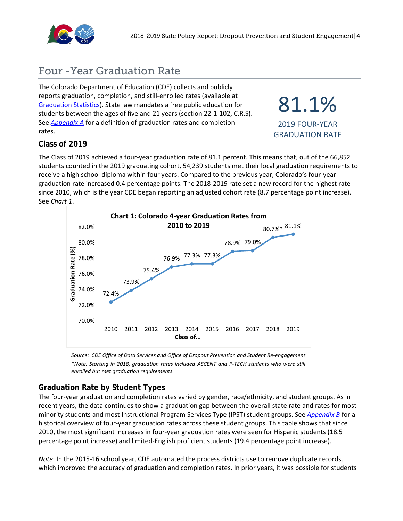

81.1%

2019 FOUR-YEAR GRADUATION RATE

## <span id="page-3-0"></span>Four -Year Graduation Rate

The Colorado Department of Education (CDE) collects and publicly reports graduation, completion, and still-enrolled rates (available at [Graduation Statistics\)](http://www.cde.state.co.us/cdereval/gradratecurrent). State law mandates a free public education for students between the ages of five and 21 years (section 22-1-102, C.R.S). See *[Appendix A](#page-22-1)* for a definition of graduation rates and completion rates.

### **Class of 2019**

The Class of 2019 achieved a four-year graduation rate of 81.1 percent. This means that, out of the 66,852 students counted in the 2019 graduating cohort, 54,239 students met their local graduation requirements to receive a high school diploma within four years. Compared to the previous year, Colorado's four-year graduation rate increased 0.4 percentage points. The 2018-2019 rate set a new record for the highest rate since 2010, which is the year CDE began reporting an adjusted cohort rate (8.7 percentage point increase). See *Chart 1*.



*Source: CDE Office of Data Services and Office of Dropout Prevention and Student Re-engagement \*Note: Starting in 2018, graduation rates included ASCENT and P-TECH students who were still enrolled but met graduation requirements.*

### **Graduation Rate by Student Types**

The four-year graduation and completion rates varied by gender, race/ethnicity, and student groups. As in recent years, the data continues to show a graduation gap between the overall state rate and rates for most minority students and most Instructional Program Services Type (IPST) student groups. See *[Appendix B](#page-26-0)* for a historical overview of four-year graduation rates across these student groups. This table shows that since 2010, the most significant increases in four-year graduation rates were seen for Hispanic students (18.5 percentage point increase) and limited-English proficient students (19.4 percentage point increase).

*Note*: In the 2015-16 school year, CDE automated the process districts use to remove duplicate records, which improved the accuracy of graduation and completion rates. In prior years, it was possible for students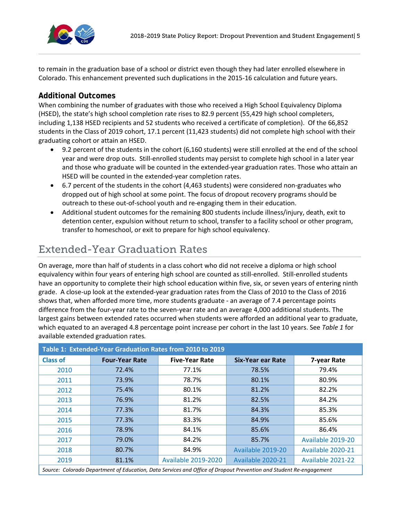

to remain in the graduation base of a school or district even though they had later enrolled elsewhere in Colorado. This enhancement prevented such duplications in the 2015-16 calculation and future years.

### **Additional Outcomes**

When combining the number of graduates with those who received a High School Equivalency Diploma (HSED), the state's high school completion rate rises to 82.9 percent (55,429 high school completers, including 1,138 HSED recipients and 52 students who received a certificate of completion). Of the 66,852 students in the Class of 2019 cohort, 17.1 percent (11,423 students) did not complete high school with their graduating cohort or attain an HSED.

- 9.2 percent of the students in the cohort (6,160 students) were still enrolled at the end of the school year and were drop outs. Still-enrolled students may persist to complete high school in a later year and those who graduate will be counted in the extended-year graduation rates. Those who attain an HSED will be counted in the extended-year completion rates.
- 6.7 percent of the students in the cohort (4,463 students) were considered non-graduates who dropped out of high school at some point. The focus of dropout recovery programs should be outreach to these out-of-school youth and re-engaging them in their education.
- Additional student outcomes for the remaining 800 students include illness/injury, death, exit to detention center, expulsion without return to school, transfer to a facility school or other program, transfer to homeschool, or exit to prepare for high school equivalency.

## <span id="page-4-0"></span>Extended-Year Graduation Rates

On average, more than half of students in a class cohort who did not receive a diploma or high school equivalency within four years of entering high school are counted as still-enrolled. Still-enrolled students have an opportunity to complete their high school education within five, six, or seven years of entering ninth grade. A close-up look at the extended-year graduation rates from the Class of 2010 to the Class of 2016 shows that, when afforded more time, more students graduate - an average of 7.4 percentage points difference from the four-year rate to the seven-year rate and an average 4,000 additional students. The largest gains between extended rates occurred when students were afforded an additional year to graduate, which equated to an averaged 4.8 percentage point increase per cohort in the last 10 years. See *Table 1* for available extended graduation rates*.* 

| Table 1: Extended-Year Graduation Rates from 2010 to 2019 |                                                                                                                    |                            |                   |                   |  |  |  |  |  |  |
|-----------------------------------------------------------|--------------------------------------------------------------------------------------------------------------------|----------------------------|-------------------|-------------------|--|--|--|--|--|--|
| <b>Class of</b>                                           | <b>Four-Year Rate</b>                                                                                              | <b>Five-Year Rate</b>      | Six-Year ear Rate | 7-year Rate       |  |  |  |  |  |  |
| 2010                                                      | 72.4%                                                                                                              | 77.1%                      | 78.5%             | 79.4%             |  |  |  |  |  |  |
| 2011                                                      | 73.9%                                                                                                              | 78.7%                      | 80.1%             | 80.9%             |  |  |  |  |  |  |
| 2012                                                      | 75.4%                                                                                                              | 80.1%                      | 81.2%             | 82.2%             |  |  |  |  |  |  |
| 2013                                                      | 76.9%                                                                                                              | 81.2%                      | 82.5%             | 84.2%             |  |  |  |  |  |  |
| 2014                                                      | 77.3%                                                                                                              | 81.7%                      | 84.3%             | 85.3%             |  |  |  |  |  |  |
| 2015                                                      | 77.3%                                                                                                              | 83.3%                      | 84.9%             | 85.6%             |  |  |  |  |  |  |
| 2016                                                      | 78.9%                                                                                                              | 84.1%                      | 85.6%             | 86.4%             |  |  |  |  |  |  |
| 2017                                                      | 79.0%                                                                                                              | 84.2%                      | 85.7%             | Available 2019-20 |  |  |  |  |  |  |
| 2018                                                      | 80.7%                                                                                                              | 84.9%                      | Available 2019-20 | Available 2020-21 |  |  |  |  |  |  |
| 2019                                                      | 81.1%                                                                                                              | <b>Available 2019-2020</b> | Available 2020-21 | Available 2021-22 |  |  |  |  |  |  |
|                                                           | Source: Colorado Department of Education, Data Services and Office of Dropout Prevention and Student Re-engagement |                            |                   |                   |  |  |  |  |  |  |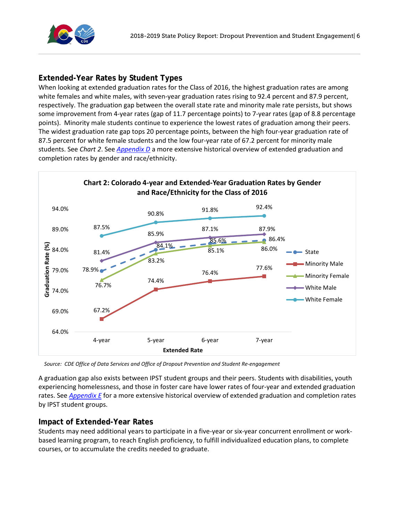

### **Extended-Year Rates by Student Types**

When looking at extended graduation rates for the Class of 2016, the highest graduation rates are among white females and white males, with seven-year graduation rates rising to 92.4 percent and 87.9 percent, respectively. The graduation gap between the overall state rate and minority male rate persists, but shows some improvement from 4-year rates (gap of 11.7 percentage points) to 7-year rates (gap of 8.8 percentage points). Minority male students continue to experience the lowest rates of graduation among their peers. The widest graduation rate gap tops 20 percentage points, between the high four-year graduation rate of 87.5 percent for white female students and the low four-year rate of 67.2 percent for minority male students. See *Chart 2*. See *[Appendix D](#page-28-0)* a more extensive historical overview of extended graduation and completion rates by gender and race/ethnicity.



*Source: CDE Office of Data Services and Office of Dropout Prevention and Student Re-engagement*

A graduation gap also exists between IPST student groups and their peers. Students with disabilities, youth experiencing homelessness, and those in foster care have lower rates of four-year and extended graduation rates. See *[Appendix E](#page-30-0)* for a more extensive historical overview of extended graduation and completion rates by IPST student groups.

### **Impact of Extended-Year Rates**

Students may need additional years to participate in a five-year or six-year concurrent enrollment or workbased learning program, to reach English proficiency, to fulfill individualized education plans, to complete courses, or to accumulate the credits needed to graduate.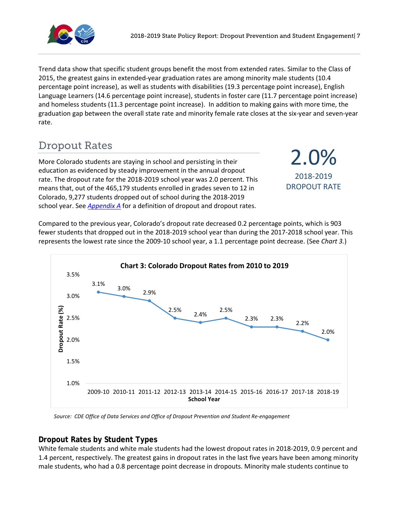

Trend data show that specific student groups benefit the most from extended rates. Similar to the Class of 2015, the greatest gains in extended-year graduation rates are among minority male students (10.4 percentage point increase), as well as students with disabilities (19.3 percentage point increase), English Language Learners (14.6 percentage point increase), students in foster care (11.7 percentage point increase) and homeless students (11.3 percentage point increase). In addition to making gains with more time, the graduation gap between the overall state rate and minority female rate closes at the six-year and seven-year rate.

## <span id="page-6-0"></span>Dropout Rates

More Colorado students are staying in school and persisting in their education as evidenced by steady improvement in the annual dropout rate. The dropout rate for the 2018-2019 school year was 2.0 percent. This means that, out of the 465,179 students enrolled in grades seven to 12 in Colorado, 9,277 students dropped out of school during the 2018-2019 school year. See *[Appendix A](#page-22-1)* for a definition of dropout and dropout rates.

2.0% 2018-2019 DROPOUT RATE

Compared to the previous year, Colorado's dropout rate decreased 0.2 percentage points, which is 903 fewer students that dropped out in the 2018-2019 school year than during the 2017-2018 school year. This represents the lowest rate since the 2009-10 school year, a 1.1 percentage point decrease. (See *Chart 3.*)



*Source: CDE Office of Data Services and Office of Dropout Prevention and Student Re-engagement*

### **Dropout Rates by Student Types**

White female students and white male students had the lowest dropout rates in 2018-2019, 0.9 percent and 1.4 percent, respectively. The greatest gains in dropout rates in the last five years have been among minority male students, who had a 0.8 percentage point decrease in dropouts. Minority male students continue to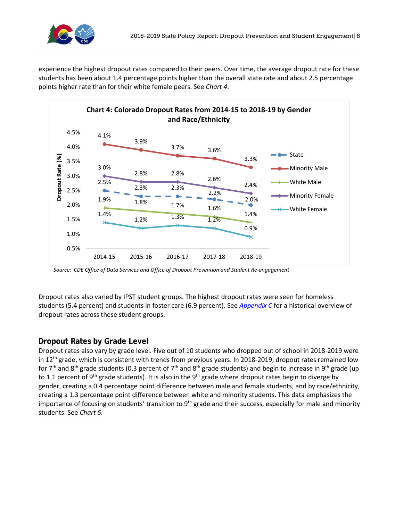

experience the highest dropout rates compared to their peers. Over time, the average dropout rate for these students has been about 1.4 percentage points higher than the overall state rate and about 2.5 percentage points higher rate than for their white female peers. See *Chart 4*.



*Source: CDE Office of Data Services and Office of Dropout Prevention and Student Re-engagement*

Dropout rates also varied by IPST student groups. The highest dropout rates were seen for homeless students (5.4 percent) and students in foster care (6.9 percent). See *[Appendix C](#page-27-0)* for a historical overview of dropout rates across these student groups.

### **Dropout Rates by Grade Level**

Dropout rates also vary by grade level. Five out of 10 students who dropped out of school in 2018-2019 were in 12<sup>th</sup> grade, which is consistent with trends from previous years. In 2018-2019, dropout rates remained low for 7<sup>th</sup> and 8<sup>th</sup> grade students (0.3 percent of 7<sup>th</sup> and 8<sup>th</sup> grade students) and begin to increase in 9<sup>th</sup> grade (up to 1.1 percent of 9<sup>th</sup> grade students). It is also in the 9<sup>th</sup> grade where dropout rates begin to diverge by gender, creating a 0.4 percentage point difference between male and female students, and by race/ethnicity, creating a 1.3 percentage point difference between white and minority students. This data emphasizes the importance of focusing on students' transition to 9<sup>th</sup> grade and their success, especially for male and minority students. See *Chart 5.*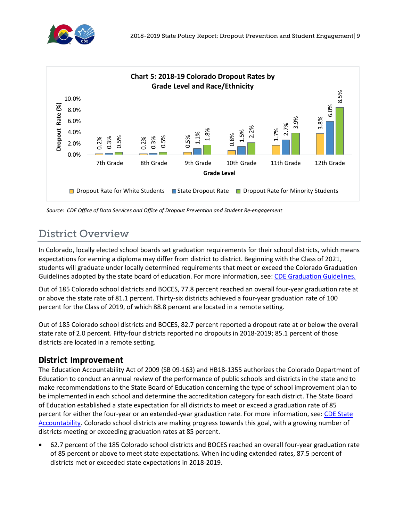



*Source: CDE Office of Data Services and Office of Dropout Prevention and Student Re-engagement*

## <span id="page-8-0"></span>District Overview

In Colorado, locally elected school boards set graduation requirements for their school districts, which means expectations for earning a diploma may differ from district to district. Beginning with the Class of 2021, students will graduate under locally determined requirements that meet or exceed the Colorado Graduation Guidelines adopted by the state board of education. For more information, see: [CDE Graduation Guidelines.](http://www.cde.state.co.us/postsecondary/graduationguidelines)

Out of 185 Colorado school districts and BOCES, 77.8 percent reached an overall four-year graduation rate at or above the state rate of 81.1 percent. Thirty-six districts achieved a four-year graduation rate of 100 percent for the Class of 2019, of which 88.8 percent are located in a remote setting.

Out of 185 Colorado school districts and BOCES, 82.7 percent reported a dropout rate at or below the overall state rate of 2.0 percent. Fifty-four districts reported no dropouts in 2018-2019; 85.1 percent of those districts are located in a remote setting.

### **District Improvement**

The Education Accountability Act of 2009 (SB 09-163) and HB18-1355 authorizes the Colorado Department of Education to conduct an annual review of the performance of public schools and districts in the state and to make recommendations to the State Board of Education concerning the type of school improvement plan to be implemented in each school and determine the accreditation category for each district. The State Board of Education established a state expectation for all districts to meet or exceed a graduation rate of 85 percent for either the four-year or an extended-year graduation rate. For more information, see: CDE State [Accountability.](http://www.cde.state.co.us/accountability/stateaccountability) Colorado school districts are making progress towards this goal, with a growing number of districts meeting or exceeding graduation rates at 85 percent.

• 62.7 percent of the 185 Colorado school districts and BOCES reached an overall four-year graduation rate of 85 percent or above to meet state expectations. When including extended rates, 87.5 percent of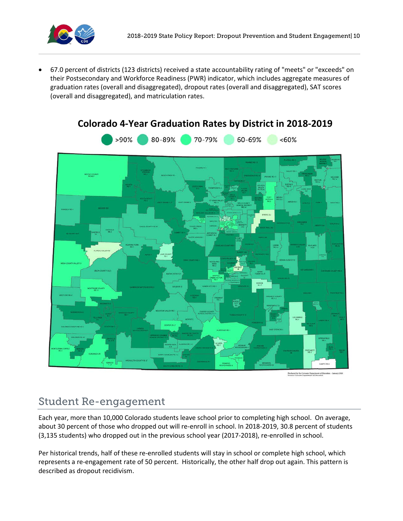

• 67.0 percent of districts (123 districts) received a state accountability rating of "meets" or "exceeds" on their Postsecondary and Workforce Readiness (PWR) indicator, which includes aggregate measures of graduation rates (overall and disaggregated), dropout rates (overall and disaggregated), SAT scores (overall and disaggregated), and matriculation rates.



**Colorado 4-Year Graduation Rates by District in 2018-2019**

Produced by the Colosado Department of Education<br>Source: Colorado Department of Education ation - January 2020

## <span id="page-9-0"></span>Student Re-engagement

Each year, more than 10,000 Colorado students leave school prior to completing high school. On average, about 30 percent of those who dropped out will re-enroll in school. In 2018-2019, 30.8 percent of students (3,135 students) who dropped out in the previous school year (2017-2018), re-enrolled in school.

Per historical trends, half of these re-enrolled students will stay in school or complete high school, which represents a re-engagement rate of 50 percent. Historically, the other half drop out again. This pattern is described as dropout recidivism.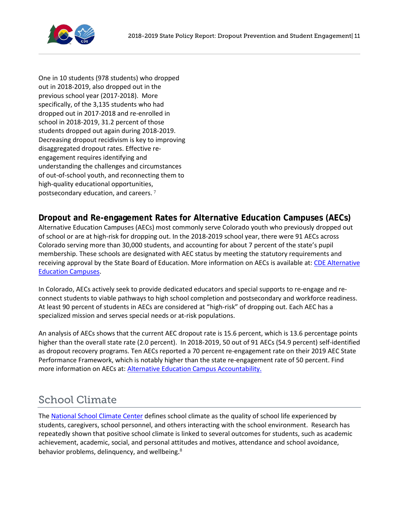![](_page_10_Picture_0.jpeg)

![](_page_10_Picture_1.jpeg)

One in 10 students (978 students) who dropped out in 2018-2019, also dropped out in the previous school year (2017-2018). More specifically, of the 3,135 students who had dropped out in 2017-2018 and re-enrolled in school in 2018-2019, 31.2 percent of those students dropped out again during 2018-2019. Decreasing dropout recidivism is key to improving disaggregated dropout rates. Effective reengagement requires identifying and understanding the challenges and circumstances of out-of-school youth, and reconnecting them to high-quality educational opportunities, postsecondary education, and careers. [7](#page-34-6)

### **Dropout and Re-engagement Rates for Alternative Education Campuses (AECs)**

Alternative Education Campuses (AECs) most commonly serve Colorado youth who previously dropped out of school or are at high-risk for dropping out. In the 2018-2019 school year, there were 91 AECs across Colorado serving more than 30,000 students, and accounting for about 7 percent of the state's pupil membership. These schools are designated with AEC status by meeting the statutory requirements and receiving approval by the State Board of Education. More information on AECs is available at: [CDE Alternative](https://www.cde.state.co.us/accountability/stateaccountabilityaecs)  [Education Campuses.](https://www.cde.state.co.us/accountability/stateaccountabilityaecs)

In Colorado, AECs actively seek to provide dedicated educators and special supports to re-engage and reconnect students to viable pathways to high school completion and postsecondary and workforce readiness. At least 90 percent of students in AECs are considered at "high-risk" of dropping out. Each AEC has a specialized mission and serves special needs or at-risk populations.

An analysis of AECs shows that the current AEC dropout rate is 15.6 percent, which is 13.6 percentage points higher than the overall state rate (2.0 percent). In 2018-2019, 50 out of 91 AECs (54.9 percent) self-identified as dropout recovery programs. Ten AECs reported a 70 percent re-engagement rate on their 2019 AEC State Performance Framework, which is notably higher than the state re-engagement rate of 50 percent. Find more information on AECs at: [Alternative Education Campus Accountability.](http://www.cde.state.co.us/accountability/stateaccountabilityaecs)

## <span id="page-10-0"></span>School Climate

Th[e National School Climate Center](https://www.schoolclimate.org/) defines school climate as the quality of school life experienced by students, caregivers, school personnel, and others interacting with the school environment. Research has repeatedly shown that positive school climate is linked to several outcomes for students, such as academic achievement, academic, social, and personal attitudes and motives, attendance and school avoidance, behavior problems, delinquency, and wellbeing.<sup>8</sup>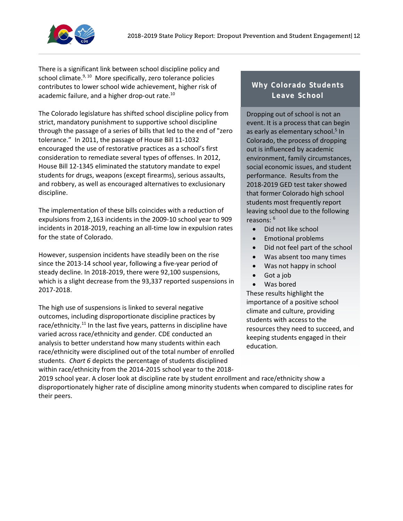![](_page_11_Picture_0.jpeg)

There is a significant link between school discipline policy and school climate.<sup>9, 10</sup> More specifically, zero tolerance policies contributes to lower school wide achievement, higher risk of academic failure, and a higher drop-out rate. 10

The Colorado legislature has shifted school discipline policy from strict, mandatory punishment to supportive school discipline through the passage of a series of bills that led to the end of "zero tolerance." In 2011, the passage of House Bill 11-1032 encouraged the use of restorative practices as a school's first consideration to remediate several types of offenses. In 2012, House Bill 12-1345 eliminated the statutory mandate to expel students for drugs, weapons (except firearms), serious assaults, and robbery, as well as encouraged alternatives to exclusionary discipline.

The implementation of these bills coincides with a reduction of expulsions from 2,163 incidents in the 2009-10 school year to 909 incidents in 2018-2019, reaching an all-time low in expulsion rates for the state of Colorado.

However, suspension incidents have steadily been on the rise since the 2013-14 school year, following a five-year period of steady decline. In 2018-2019, there were 92,100 suspensions, which is a slight decrease from the 93,337 reported suspensions in 2017-2018.

The high use of suspensions is linked to several negative outcomes, including disproportionate discipline practices by race/ethnicity.<sup>11</sup> In the last five years, patterns in discipline have varied across race/ethnicity and gender*.* CDE conducted an analysis to better understand how many students within each race/ethnicity were disciplined out of the total number of enrolled students. *Chart 6* depicts the percentage of students disciplined within race/ethnicity from the 2014-2015 school year to the 2018-

### **Why Colorado Students Leave School**

Dropping out of school is not an event. It is a process that can begin as early as elementary school.<sup>5</sup> In Colorado, the process of dropping out is influenced by academic environment, family circumstances, social economic issues, and student performance. Results from the 2018-2019 GED test taker showed that former Colorado high school students most frequently report leaving school due to the following reasons: 6

- Did not like school
- Emotional problems
- Did not feel part of the school
- Was absent too many times
- Was not happy in school
- Got a job
- Was bored

These results highlight the importance of a positive school climate and culture, providing students with access to the resources they need to succeed, and keeping students engaged in their education.

2019 school year. A closer look at discipline rate by student enrollment and race/ethnicity show a disproportionately higher rate of discipline among minority students when compared to discipline rates for their peers.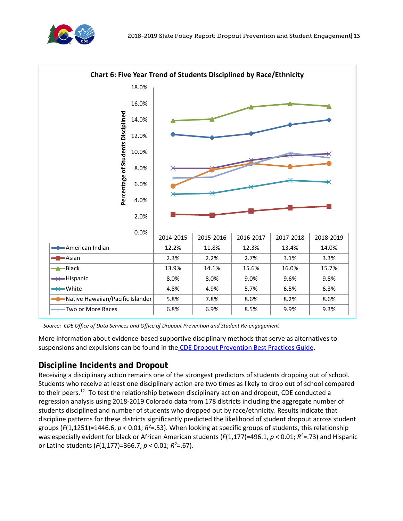![](_page_12_Picture_0.jpeg)

![](_page_12_Figure_2.jpeg)

Source: CDE Office of Data Services and Office of Dropout Prevention and Student Re-engagement

*More information about evidence-based supportive disciplinary methods that serve as alternatives to* suspensions and expulsions can be found in the [CDE Dropout Prevention Best Practices Guide.](http://www.cde.state.co.us/dropoutprevention/disciplineandbehavior)

### **Discipline Incidents and Dropout**

Receiving a disciplinary action remains one of the strongest predictors of students dropping out of school. Students who receive at least one disciplinary action are two times as likely to drop out of school compared to their peers.<sup>12</sup> To test the relationship between disciplinary action and dropout, CDE conducted a regression analysis using 2018-2019 Colorado data from 178 districts including the aggregate number of students disciplined and number of students who dropped out by race/ethnicity. Results indicate that discipline patterns for these districts significantly predicted the likelihood of student dropout across student groups (F(1,1251)=1446.6,  $p < 0.01$ ;  $R^2$ =.53). When looking at specific groups of students, this relationship was especially evident for black or African American students (*F*(1,177)=496.1, *p* < 0.01; *R*<sup>2</sup>=.73) and Hispanic or Latino students (*F*(1,177)=366.7, *p* < 0.01; *R2* =.67).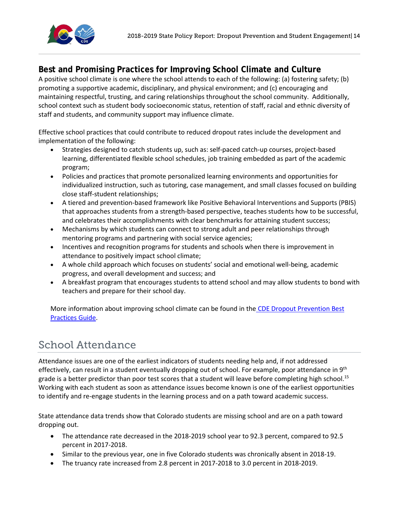## **Best and Promising Practices for Improving School Climate and Culture**

A positive school climate is one where the school attends to each of the following: (a) fostering safety; (b) promoting a supportive academic, disciplinary, and physical environment; and (c) encouraging and maintaining respectful, trusting, and caring relationships throughout the school community. Additionally, school context such as student body socioeconomic status, retention of staff, racial and ethnic diversity of staff and students, and community support may influence climate.

Effective school practices that could contribute to reduced dropout rates include the development and implementation of the following:

- Strategies designed to catch students up, such as: self-paced catch-up courses, project-based learning, differentiated flexible school schedules, job training embedded as part of the academic program;
- Policies and practices that promote personalized learning environments and opportunities for individualized instruction, such as tutoring, case management, and small classes focused on building close staff-student relationships;
- A tiered and prevention-based framework like Positive Behavioral Interventions and Supports (PBIS) that approaches students from a strength-based perspective, teaches students how to be successful, and celebrates their accomplishments with clear benchmarks for attaining student success;
- Mechanisms by which students can connect to strong adult and peer relationships through mentoring programs and partnering with social service agencies;
- Incentives and recognition programs for students and schools when there is improvement in attendance to positively impact school climate;
- A whole child approach which focuses on students' social and emotional well-being, academic progress, and overall development and success; and
- A breakfast program that encourages students to attend school and may allow students to bond with teachers and prepare for their school day.

More information about improving school climate can be found in the [CDE Dropout Prevention Best](https://www.cde.state.co.us/dropoutprevention/schoolclimateandculturalproficiency)  [Practices Guide.](https://www.cde.state.co.us/dropoutprevention/schoolclimateandculturalproficiency)

## <span id="page-13-0"></span>School Attendance

Attendance issues are one of the earliest indicators of students needing help and, if not addressed effectively, can result in a student eventually dropping out of school. For example, poor attendance in 9<sup>th</sup> grade is a better predictor than poor test scores that a student will leave before completing high school.<sup>15</sup> Working with each student as soon as attendance issues become known is one of the earliest opportunities to identify and re-engage students in the learning process and on a path toward academic success.

State attendance data trends show that Colorado students are missing school and are on a path toward dropping out.

- The attendance rate decreased in the 2018-2019 school year to 92.3 percent, compared to 92.5 percent in 2017-2018.
- Similar to the previous year, one in five Colorado students was chronically absent in 2018-19.
- The truancy rate increased from 2.8 percent in 2017-2018 to 3.0 percent in 2018-2019.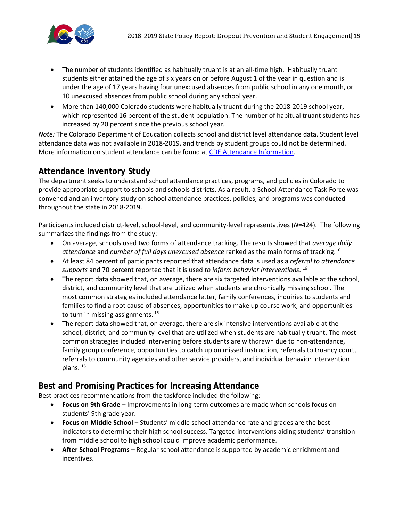![](_page_14_Picture_1.jpeg)

- The number of students identified as habitually truant is at an all-time high. Habitually truant students either attained the age of six years on or before August 1 of the year in question and is under the age of 17 years having four unexcused absences from public school in any one month, or 10 unexcused absences from public school during any school year.
- More than 140,000 Colorado students were habitually truant during the 2018-2019 school year, which represented 16 percent of the student population. The number of habitual truant students has increased by 20 percent since the previous school year.

*Note:* The Colorado Department of Education collects school and district level attendance data. Student level attendance data was not available in 2018-2019, and trends by student groups could not be determined. More information on student attendance can be found at [CDE Attendance Information.](http://www.cde.state.co.us/cdereval/truancystatistics)

### **Attendance Inventory Study**

The department seeks to understand school attendance practices, programs, and policies in Colorado to provide appropriate support to schools and schools districts. As a result, a School Attendance Task Force was convened and an inventory study on school attendance practices, policies, and programs was conducted throughout the state in 2018-2019.

Participants included district-level, school-level, and community-level representatives (*N*=424). The following summarizes the findings from the study:

- On average, schools used two forms of attendance tracking. The results showed that *average daily attendance* and *number of full days unexcused absence* ranked as the main forms of tracking.16
- At least 84 percent of participants reported that attendance data is used as a *referral to attendance supports* and 70 percent reported that it is used *to inform behavior interventions*. <sup>16</sup>
- The report data showed that, on average, there are six targeted interventions available at the school, district, and community level that are utilized when students are chronically missing school. The most common strategies included attendance letter, family conferences, inquiries to students and families to find a root cause of absences, opportunities to make up course work, and opportunities to turn in missing assignments.<sup>16</sup>
- The report data showed that, on average, there are six intensive interventions available at the school, district, and community level that are utilized when students are habitually truant. The most common strategies included intervening before students are withdrawn due to non-attendance, family group conference, opportunities to catch up on missed instruction, referrals to truancy court, referrals to community agencies and other service providers, and individual behavior intervention plans. <sup>16</sup>

### **Best and Promising Practices for Increasing Attendance**

Best practices recommendations from the taskforce included the following:

- **Focus on 9th Grade** Improvements in long-term outcomes are made when schools focus on students' 9th grade year.
- **Focus on Middle School** Students' middle school attendance rate and grades are the best indicators to determine their high school success. Targeted interventions aiding students' transition from middle school to high school could improve academic performance.
- **After School Programs** Regular school attendance is supported by academic enrichment and incentives.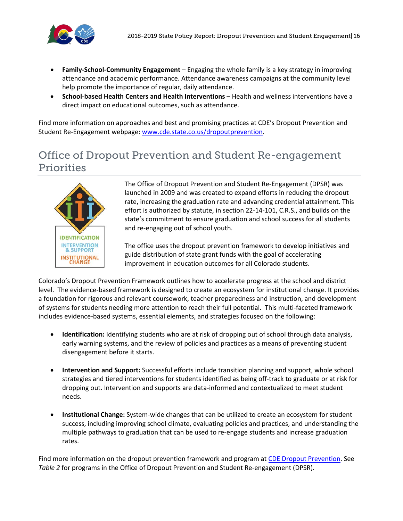![](_page_15_Picture_1.jpeg)

- **Family-School-Community Engagement**  Engaging the whole family is a key strategy in improving attendance and academic performance. Attendance awareness campaigns at the community level help promote the importance of regular, daily attendance.
- **School-based Health Centers and Health Interventions** Health and wellness interventions have a direct impact on educational outcomes, such as attendance.

Find more information on approaches and best and promising practices at CDE'[s Dropout Prevention and](http://www.cde.state.co.us/dropoutprevention)  [Student Re-Engagement webpage:](http://www.cde.state.co.us/dropoutprevention) [www.cde.state.co.us/dropoutprevention.](http://www.cde.state.co.us/dropoutprevention)

## <span id="page-15-0"></span>Office of Dropout Prevention and Student Re-engagement Priorities

![](_page_15_Picture_6.jpeg)

The Office of Dropout Prevention and Student Re-Engagement (DPSR) was launched in 2009 and was created to expand efforts in reducing the dropout rate, increasing the graduation rate and advancing credential attainment. This effort is authorized by statute, in section 22-14-101, C.R.S., and builds on the state's commitment to ensure graduation and school success for all students and re-engaging out of school youth.

The office uses the dropout prevention framework to develop initiatives and guide distribution of state grant funds with the goal of accelerating improvement in education outcomes for all Colorado students.

Colorado's Dropout Prevention Framework outlines how to accelerate progress at the school and district level. The evidence-based framework is designed to create an ecosystem for institutional change. It provides a foundation for rigorous and relevant coursework, teacher preparedness and instruction, and development of systems for students needing more attention to reach their full potential. This multi-faceted framework includes evidence-based systems, essential elements, and strategies focused on the following:

- **Identification:** Identifying students who are at risk of dropping out of school through data analysis, early warning systems, and the review of policies and practices as a means of preventing student disengagement before it starts.
- **Intervention and Support:** Successful efforts include transition planning and support, whole school strategies and tiered interventions for students identified as being off-track to graduate or at risk for dropping out. Intervention and supports are data-informed and contextualized to meet student needs.
- **Institutional Change:** System-wide changes that can be utilized to create an ecosystem for student success, including improving school climate, evaluating policies and practices, and understanding the multiple pathways to graduation that can be used to re-engage students and increase graduation rates.

Find more information on the dropout prevention framework and program a[t CDE Dropout Prevention.](http://www.cde.state.co.us/dropoutprevention) See *Table 2* for programs in the Office of Dropout Prevention and Student Re-engagement (DPSR).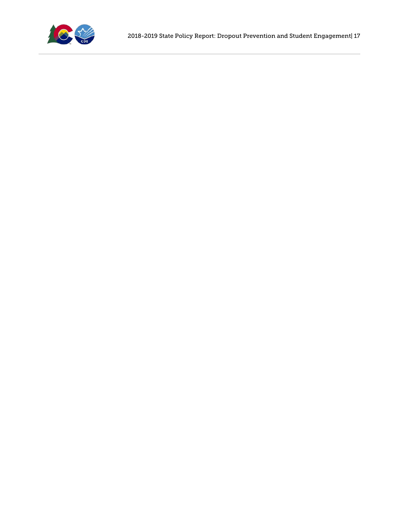![](_page_16_Picture_0.jpeg)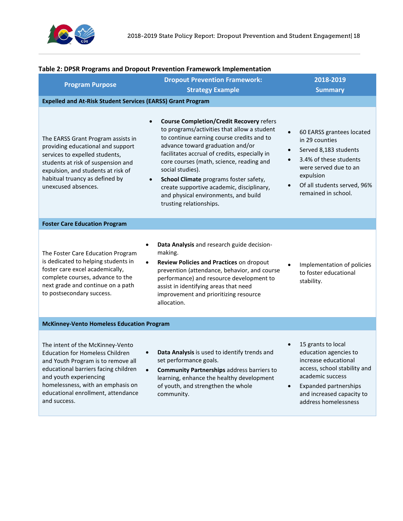![](_page_17_Picture_0.jpeg)

and youth experiencing

and success.

homelessness, with an emphasis on educational enrollment, attendance

| <b>Program Purpose</b>                                                                                                                                                                                                                         | <b>Dropout Prevention Framework:</b>                                                                                                                                                                                                                                                                                                                                                                                                                                    | 2018-2019                                                                                                                                                                                                                                      |
|------------------------------------------------------------------------------------------------------------------------------------------------------------------------------------------------------------------------------------------------|-------------------------------------------------------------------------------------------------------------------------------------------------------------------------------------------------------------------------------------------------------------------------------------------------------------------------------------------------------------------------------------------------------------------------------------------------------------------------|------------------------------------------------------------------------------------------------------------------------------------------------------------------------------------------------------------------------------------------------|
|                                                                                                                                                                                                                                                | <b>Strategy Example</b>                                                                                                                                                                                                                                                                                                                                                                                                                                                 | <b>Summary</b>                                                                                                                                                                                                                                 |
| <b>Expelled and At-Risk Student Services (EARSS) Grant Program</b>                                                                                                                                                                             |                                                                                                                                                                                                                                                                                                                                                                                                                                                                         |                                                                                                                                                                                                                                                |
| The EARSS Grant Program assists in<br>providing educational and support<br>services to expelled students,<br>students at risk of suspension and<br>expulsion, and students at risk of<br>habitual truancy as defined by<br>unexcused absences. | <b>Course Completion/Credit Recovery refers</b><br>to programs/activities that allow a student<br>to continue earning course credits and to<br>advance toward graduation and/or<br>facilitates accrual of credits, especially in<br>core courses (math, science, reading and<br>social studies).<br>School Climate programs foster safety,<br>$\bullet$<br>create supportive academic, disciplinary,<br>and physical environments, and build<br>trusting relationships. | 60 EARSS grantees located<br>$\bullet$<br>in 29 counties<br>Served 8,183 students<br>$\bullet$<br>3.4% of these students<br>$\bullet$<br>were served due to an<br>expulsion<br>Of all students served, 96%<br>$\bullet$<br>remained in school. |
| <b>Foster Care Education Program</b>                                                                                                                                                                                                           |                                                                                                                                                                                                                                                                                                                                                                                                                                                                         |                                                                                                                                                                                                                                                |
| The Foster Care Education Program<br>is dedicated to helping students in<br>foster care excel academically,<br>complete courses, advance to the<br>next grade and continue on a path<br>to postsecondary success.                              | Data Analysis and research guide decision-<br>making.<br>Review Policies and Practices on dropout<br>$\bullet$<br>prevention (attendance, behavior, and course<br>performance) and resource development to<br>assist in identifying areas that need<br>improvement and prioritizing resource<br>allocation.                                                                                                                                                             | $\bullet$<br>Implementation of policies<br>to foster educational<br>stability.                                                                                                                                                                 |
| <b>McKinney-Vento Homeless Education Program</b>                                                                                                                                                                                               |                                                                                                                                                                                                                                                                                                                                                                                                                                                                         |                                                                                                                                                                                                                                                |
| The intent of the McKinney-Vento<br><b>Education for Homeless Children</b><br>and Youth Program is to remove all<br>educational barriers facing children                                                                                       | Data Analysis is used to identify trends and<br>$\bullet$<br>set performance goals.<br><b>Community Partnerships address barriers to</b>                                                                                                                                                                                                                                                                                                                                | 15 grants to local<br>$\bullet$<br>education agencies to<br>increase educational<br>access, school stability and                                                                                                                               |

#### **Table 2: DPSR Programs and Dropout Prevention Framework Implementation**

• **Community Partnerships** address barriers to learning, enhance the healthy development of youth, and strengthen the whole community.

- access, school stability and academic success
- Expanded partnerships and increased capacity to address homelessness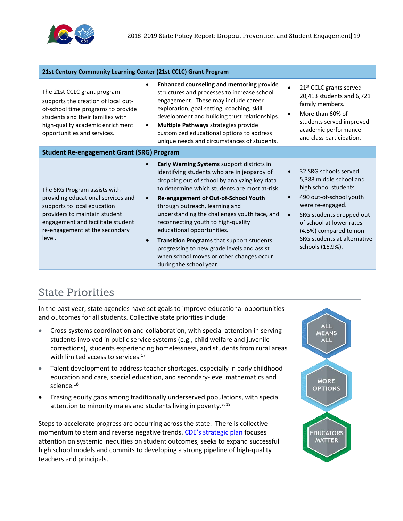![](_page_18_Picture_0.jpeg)

#### **[21st Century Community Learning Center](http://www.cde.state.co.us/21stcclc) (21st CCLC) Grant Program**

| The 21st CCLC grant program<br>supports the creation of local out-<br>of-school time programs to provide<br>students and their families with<br>high-quality academic enrichment<br>opportunities and services.     | Enhanced counseling and mentoring provide<br>structures and processes to increase school<br>engagement. These may include career<br>exploration, goal setting, coaching, skill<br>development and building trust relationships.<br>Multiple Pathways strategies provide<br>customized educational options to address<br>unique needs and circumstances of students.                                                                                                                                                                                               | 21 <sup>st</sup> CCLC grants served<br>20,413 students and 6,721<br>family members.<br>More than 60% of<br>students served improved<br>academic performance<br>and class participation.                                                                                     |
|---------------------------------------------------------------------------------------------------------------------------------------------------------------------------------------------------------------------|-------------------------------------------------------------------------------------------------------------------------------------------------------------------------------------------------------------------------------------------------------------------------------------------------------------------------------------------------------------------------------------------------------------------------------------------------------------------------------------------------------------------------------------------------------------------|-----------------------------------------------------------------------------------------------------------------------------------------------------------------------------------------------------------------------------------------------------------------------------|
| <b>Student Re-engagement Grant (SRG) Program</b>                                                                                                                                                                    |                                                                                                                                                                                                                                                                                                                                                                                                                                                                                                                                                                   |                                                                                                                                                                                                                                                                             |
| The SRG Program assists with<br>providing educational services and<br>supports to local education<br>providers to maintain student<br>engagement and facilitate student<br>re-engagement at the secondary<br>level. | Early Warning Systems support districts in<br>identifying students who are in jeopardy of<br>dropping out of school by analyzing key data<br>to determine which students are most at-risk.<br>Re-engagement of Out-of-School Youth<br>through outreach, learning and<br>understanding the challenges youth face, and<br>reconnecting youth to high-quality<br>educational opportunities.<br><b>Transition Programs</b> that support students<br>progressing to new grade levels and assist<br>when school moves or other changes occur<br>during the school year. | 32 SRG schools served<br>5,388 middle school and<br>high school students.<br>490 out-of-school youth<br>were re-engaged.<br>SRG students dropped out<br>$\bullet$<br>of school at lower rates<br>(4.5%) compared to non-<br>SRG students at alternative<br>schools (16.9%). |

## <span id="page-18-0"></span>State Priorities

In the past year, state agencies have set goals to improve educational opportunities and outcomes for all students. Collective state priorities include:

- Cross-systems coordination and collaboration, with special attention in serving students involved in public service systems (e.g., child welfare and juvenile corrections), students experiencing homelessness, and students from rural areas with limited access to services.<sup>17</sup>
- Talent development to address teacher shortages, especially in early childhood education and care, special education, and secondary-level mathematics and science.<sup>18</sup>
- Erasing equity gaps among traditionally underserved populations, with special attention to minority males and students living in poverty.<sup>3, 19</sup>

Steps to accelerate progress are occurring across the state. There is collective momentum to stem and reverse negative trends. [CDE's strategic plan](http://www.cde.state.co.us/cdecomm/strategicplan) focuses attention on systemic inequities on student outcomes, seeks to expand successful high school models and commits to developing a strong pipeline of high-quality teachers and principals.

![](_page_18_Figure_10.jpeg)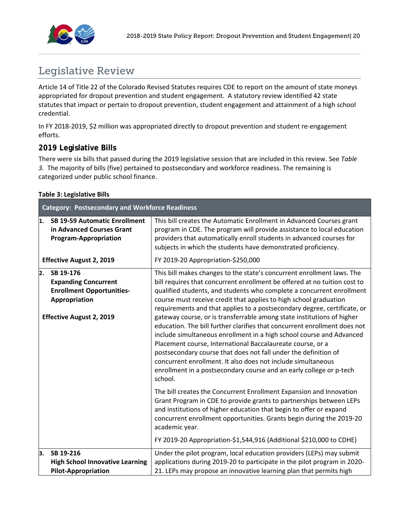![](_page_19_Picture_0.jpeg)

## <span id="page-19-0"></span>Legislative Review

Article 14 of Title 22 of the Colorado Revised Statutes requires CDE to report on the amount of state moneys appropriated for dropout prevention and student engagement. A statutory review identified 42 state statutes that impact or pertain to dropout prevention, student engagement and attainment of a high school credential.

In FY 2018-2019, \$2 million was appropriated directly to dropout prevention and student re-engagement efforts.

### **2019 Legislative Bills**

There were six bills that passed during the 2019 legislative session that are included in this review. See *Table 3.* The majority of bills (five) pertained to postsecondary and workforce readiness. The remaining is categorized under public school finance.

| <b>Category: Postsecondary and Workforce Readiness</b>                                                                              |                                                                                                                                                                                                                                                                                                                                                                                                                                                                                                                                                                                                                                                                                                                                                                                                                                                                                      |  |  |  |
|-------------------------------------------------------------------------------------------------------------------------------------|--------------------------------------------------------------------------------------------------------------------------------------------------------------------------------------------------------------------------------------------------------------------------------------------------------------------------------------------------------------------------------------------------------------------------------------------------------------------------------------------------------------------------------------------------------------------------------------------------------------------------------------------------------------------------------------------------------------------------------------------------------------------------------------------------------------------------------------------------------------------------------------|--|--|--|
| <b>SB 19-59 Automatic Enrollment</b><br>1.<br>in Advanced Courses Grant<br><b>Program-Appropriation</b>                             | This bill creates the Automatic Enrollment in Advanced Courses grant<br>program in CDE. The program will provide assistance to local education<br>providers that automatically enroll students in advanced courses for<br>subjects in which the students have demonstrated proficiency.                                                                                                                                                                                                                                                                                                                                                                                                                                                                                                                                                                                              |  |  |  |
| <b>Effective August 2, 2019</b>                                                                                                     | FY 2019-20 Appropriation-\$250,000                                                                                                                                                                                                                                                                                                                                                                                                                                                                                                                                                                                                                                                                                                                                                                                                                                                   |  |  |  |
| 2. SB 19-176<br><b>Expanding Concurrent</b><br><b>Enrollment Opportunities-</b><br>Appropriation<br><b>Effective August 2, 2019</b> | This bill makes changes to the state's concurrent enrollment laws. The<br>bill requires that concurrent enrollment be offered at no tuition cost to<br>qualified students, and students who complete a concurrent enrollment<br>course must receive credit that applies to high school graduation<br>requirements and that applies to a postsecondary degree, certificate, or<br>gateway course, or is transferrable among state institutions of higher<br>education. The bill further clarifies that concurrent enrollment does not<br>include simultaneous enrollment in a high school course and Advanced<br>Placement course, International Baccalaureate course, or a<br>postsecondary course that does not fall under the definition of<br>concurrent enrollment. It also does not include simultaneous<br>enrollment in a postsecondary course and an early college or p-tech |  |  |  |
|                                                                                                                                     | The bill creates the Concurrent Enrollment Expansion and Innovation<br>Grant Program in CDE to provide grants to partnerships between LEPs<br>and institutions of higher education that begin to offer or expand<br>concurrent enrollment opportunities. Grants begin during the 2019-20<br>academic year.<br>FY 2019-20 Appropriation-\$1,544,916 (Additional \$210,000 to CDHE)                                                                                                                                                                                                                                                                                                                                                                                                                                                                                                    |  |  |  |
| 3.<br>SB 19-216                                                                                                                     | Under the pilot program, local education providers (LEPs) may submit                                                                                                                                                                                                                                                                                                                                                                                                                                                                                                                                                                                                                                                                                                                                                                                                                 |  |  |  |
| <b>High School Innovative Learning</b><br><b>Pilot-Appropriation</b>                                                                | applications during 2019-20 to participate in the pilot program in 2020-<br>21. LEPs may propose an innovative learning plan that permits high                                                                                                                                                                                                                                                                                                                                                                                                                                                                                                                                                                                                                                                                                                                                       |  |  |  |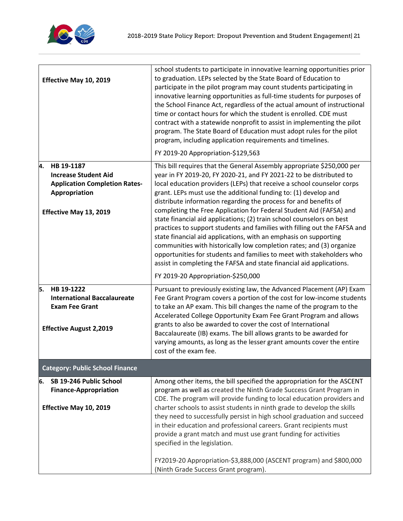![](_page_20_Picture_0.jpeg)

| Effective May 10, 2019                                                                                                             | school students to participate in innovative learning opportunities prior<br>to graduation. LEPs selected by the State Board of Education to<br>participate in the pilot program may count students participating in<br>innovative learning opportunities as full-time students for purposes of<br>the School Finance Act, regardless of the actual amount of instructional<br>time or contact hours for which the student is enrolled. CDE must<br>contract with a statewide nonprofit to assist in implementing the pilot<br>program. The State Board of Education must adopt rules for the pilot<br>program, including application requirements and timelines.<br>FY 2019-20 Appropriation-\$129,563                                                                                                                                                                                                                        |
|------------------------------------------------------------------------------------------------------------------------------------|--------------------------------------------------------------------------------------------------------------------------------------------------------------------------------------------------------------------------------------------------------------------------------------------------------------------------------------------------------------------------------------------------------------------------------------------------------------------------------------------------------------------------------------------------------------------------------------------------------------------------------------------------------------------------------------------------------------------------------------------------------------------------------------------------------------------------------------------------------------------------------------------------------------------------------|
| HB 19-1187<br>4.<br><b>Increase Student Aid</b><br><b>Application Completion Rates-</b><br>Appropriation<br>Effective May 13, 2019 | This bill requires that the General Assembly appropriate \$250,000 per<br>year in FY 2019-20, FY 2020-21, and FY 2021-22 to be distributed to<br>local education providers (LEPs) that receive a school counselor corps<br>grant. LEPs must use the additional funding to: (1) develop and<br>distribute information regarding the process for and benefits of<br>completing the Free Application for Federal Student Aid (FAFSA) and<br>state financial aid applications; (2) train school counselors on best<br>practices to support students and families with filling out the FAFSA and<br>state financial aid applications, with an emphasis on supporting<br>communities with historically low completion rates; and (3) organize<br>opportunities for students and families to meet with stakeholders who<br>assist in completing the FAFSA and state financial aid applications.<br>FY 2019-20 Appropriation-\$250,000 |
| HB 19-1222<br>5.<br><b>International Baccalaureate</b><br><b>Exam Fee Grant</b><br><b>Effective August 2,2019</b>                  | Pursuant to previously existing law, the Advanced Placement (AP) Exam<br>Fee Grant Program covers a portion of the cost for low-income students<br>to take an AP exam. This bill changes the name of the program to the<br>Accelerated College Opportunity Exam Fee Grant Program and allows<br>grants to also be awarded to cover the cost of International<br>Baccalaureate (IB) exams. The bill allows grants to be awarded for<br>varying amounts, as long as the lesser grant amounts cover the entire<br>cost of the exam fee.                                                                                                                                                                                                                                                                                                                                                                                           |
| <b>Category: Public School Finance</b>                                                                                             |                                                                                                                                                                                                                                                                                                                                                                                                                                                                                                                                                                                                                                                                                                                                                                                                                                                                                                                                |
| SB 19-246 Public School<br>6.<br><b>Finance-Appropriation</b><br>Effective May 10, 2019                                            | Among other items, the bill specified the appropriation for the ASCENT<br>program as well as created the Ninth Grade Success Grant Program in<br>CDE. The program will provide funding to local education providers and<br>charter schools to assist students in ninth grade to develop the skills<br>they need to successfully persist in high school graduation and succeed<br>in their education and professional careers. Grant recipients must<br>provide a grant match and must use grant funding for activities<br>specified in the legislation.<br>FY2019-20 Appropriation-\$3,888,000 (ASCENT program) and \$800,000<br>(Ninth Grade Success Grant program).                                                                                                                                                                                                                                                          |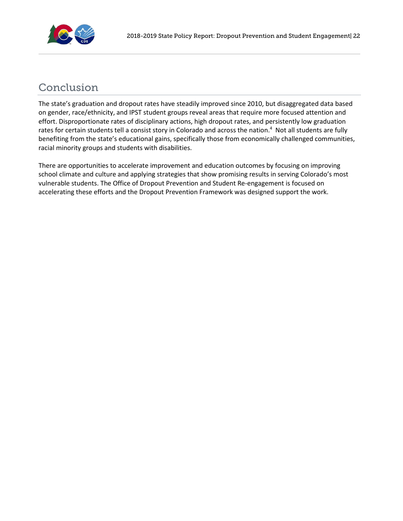![](_page_21_Picture_0.jpeg)

## <span id="page-21-0"></span>Conclusion

The state's graduation and dropout rates have steadily improved since 2010, but disaggregated data based on gender, race/ethnicity, and IPST student groups reveal areas that require more focused attention and effort. Disproportionate rates of disciplinary actions, high dropout rates, and persistently low graduation rates for certain students tell a consist story in Colorado and across the nation.<sup>4</sup> Not all students are fully benefiting from the state's educational gains, specifically those from economically challenged communities, racial minority groups and students with disabilities.

There are opportunities to accelerate improvement and education outcomes by focusing on improving school climate and culture and applying strategies that show promising results in serving Colorado's most vulnerable students. The Office of Dropout Prevention and Student Re-engagement is focused on accelerating these efforts and the Dropout Prevention Framework was designed support the work.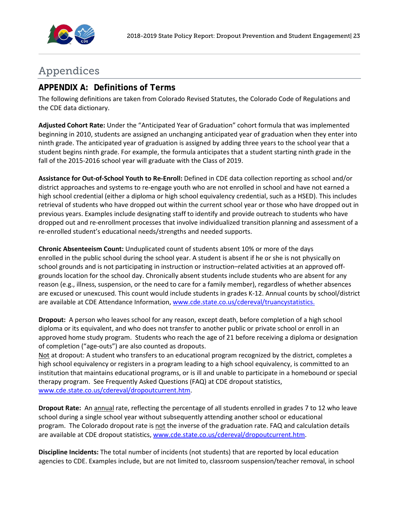![](_page_22_Picture_0.jpeg)

## <span id="page-22-0"></span>Appendices

### <span id="page-22-1"></span>**APPENDIX A: Definitions of Terms**

The following definitions are taken from Colorado Revised Statutes, the Colorado Code of Regulations and the CDE data dictionary.

**Adjusted Cohort Rate:** Under the "Anticipated Year of Graduation" cohort formula that was implemented beginning in 2010, students are assigned an unchanging anticipated year of graduation when they enter into ninth grade. The anticipated year of graduation is assigned by adding three years to the school year that a student begins ninth grade. For example, the formula anticipates that a student starting ninth grade in the fall of the 2015-2016 school year will graduate with the Class of 2019.

**Assistance for Out-of-School Youth to Re-Enroll:** Defined in CDE data collection reporting as school and/or district approaches and systems to re-engage youth who are not enrolled in school and have not earned a high school credential (either a diploma or high school equivalency credential, such as a HSED). This includes retrieval of students who have dropped out within the current school year or those who have dropped out in previous years. Examples include designating staff to identify and provide outreach to students who have dropped out and re-enrollment processes that involve individualized transition planning and assessment of a re-enrolled student's educational needs/strengths and needed supports.

**Chronic Absenteeism Count:** Unduplicated count of students absent 10% or more of the days enrolled in the public school during the school year. A student is absent if he or she is not physically on school grounds and is not participating in instruction or instruction–related activities at an approved offgrounds location for the school day. Chronically absent students include students who are absent for any reason (e.g., illness, suspension, or the need to care for a family member), regardless of whether absences are excused or unexcused. This count would include students in grades K-12. Annual counts by school/district are available at [CDE Attendance Information,](http://www.cde.state.co.us/cdereval/truancystatistics) [www.cde.state.co.us/cdereval/truancystatistics.](http://www.cde.state.co.us/cdereval/truancystatistics)

**Dropout:** A person who leaves school for any reason, except death, before completion of a high school diploma or its equivalent, and who does not transfer to another public or private school or enroll in an approved home study program. Students who reach the age of 21 before receiving a diploma or designation of completion ("age-outs") are also counted as dropouts.

Not at dropout: A student who transfers to an educational program recognized by the district, completes a high school equivalency or registers in a program leading to a high school equivalency, is committed to an institution that maintains educational programs, or is ill and unable to participate in a homebound or special therapy program. See Frequently Asked Questions (FAQ) at CDE dropout statistics, [www.cde.state.co.us/cdereval/dropoutcurrent.htm.](http://www.cde.state.co.us/cdereval/dropoutcurrent.htm)

**Dropout Rate:** An annual rate, reflecting the percentage of all students enrolled in grades 7 to 12 who leave school during a single school year without subsequently attending another school or educational program. The Colorado dropout rate is not the inverse of the graduation rate. FAQ and calculation details are available at [CDE dropout statistics,](http://www.cde.state.co.us/cdereval/dropoutcurrent.htm) [www.cde.state.co.us/cdereval/dropoutcurrent.htm.](http://www.cde.state.co.us/cdereval/dropoutcurrent.htm)

**Discipline Incidents:** The total number of incidents (not students) that are reported by local education agencies to CDE. Examples include, but are not limited to, classroom suspension/teacher removal, in school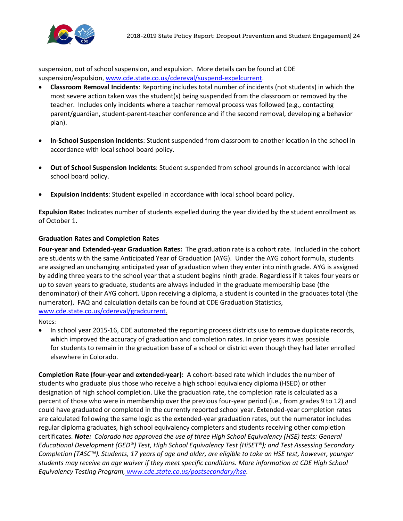![](_page_23_Picture_1.jpeg)

suspension, out of school suspension, and expulsion. More details can be found a[t CDE](http://www.cde.state.co.us/cdereval/suspend-expelcurrent)  [suspension/expulsion,](http://www.cde.state.co.us/cdereval/suspend-expelcurrent) [www.cde.state.co.us/cdereval/suspend-expelcurrent.](http://www.cde.state.co.us/cdereval/suspend-expelcurrent)

- **Classroom Removal Incidents**: Reporting includes total number of incidents (not students) in which the most severe action taken was the student(s) being suspended from the classroom or removed by the teacher. Includes only incidents where a teacher removal process was followed (e.g., contacting parent/guardian, student-parent-teacher conference and if the second removal, developing a behavior plan).
- **In-School Suspension Incidents**: Student suspended from classroom to another location in the school in accordance with local school board policy.
- **Out of School Suspension Incidents**: Student suspended from school grounds in accordance with local school board policy.
- **Expulsion Incidents**: Student expelled in accordance with local school board policy.

**Expulsion Rate:** Indicates number of students expelled during the year divided by the student enrollment as of October 1.

#### **Graduation Rates and Completion Rates**

**Four-year and Extended-year Graduation Rates:** The graduation rate is a cohort rate.Included in the cohort are students with the same Anticipated Year of Graduation (AYG). Under the AYG cohort formula, students are assigned an unchanging anticipated year of graduation when they enter into ninth grade. AYG is assigned by adding three years to the school year that a student begins ninth grade. Regardless if it takes four years or up to seven years to graduate, students are always included in the graduate membership base (the denominator) of their AYG cohort. Upon receiving a diploma, a student is counted in the graduates total (the numerator). FAQ and calculation details can be found at [CDE Graduation Statistics,](http://www.cde.state.co.us/cdereval/gradcurrent) [www.cde.state.co.us/cdereval/gradcurrent.](http://www.cde.state.co.us/cdereval/gradcurrent)

Notes:

• In school year 2015-16, CDE automated the reporting process districts use to remove duplicate records, which improved the accuracy of graduation and completion rates. In prior years it was possible for students to remain in the graduation base of a school or district even though they had later enrolled elsewhere in Colorado.

**Completion Rate (four-year and extended-year):** A cohort-based rate which includes the number of students who graduate plus those who receive a high school equivalency diploma (HSED) or other designation of high school completion. Like the graduation rate, the completion rate is calculated as a percent of those who were in membership over the previous four-year period (i.e., from grades 9 to 12) and could have graduated or completed in the currently reported school year. Extended-year completion rates are calculated following the same logic as the extended-year graduation rates, but the numerator includes regular diploma graduates, high school equivalency completers and students receiving other completion certificates. *Note: Colorado has approved the use of three High School Equivalency (HSE) tests: General Educational Development (GED®) Test, High School Equivalency Test (HiSET®); and Test Assessing Secondary Completion (TASC™). Students, 17 years of age and older, are eligible to take an HSE test, however, younger students may receive an age waiver if they meet specific conditions. More information at CDE High School Equivalency Testing Program, www.cde.state.co.us/postsecondary/hse.*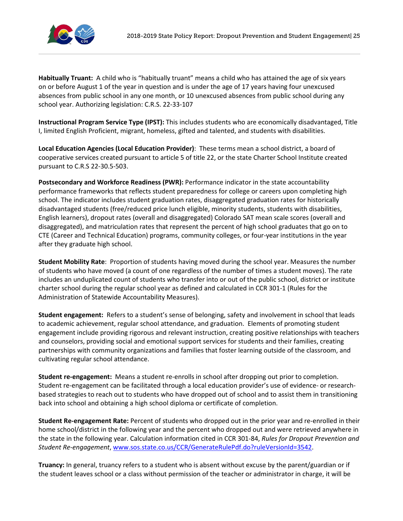![](_page_24_Picture_0.jpeg)

**Habitually Truant:** A child who is "habitually truant" means a child who has attained the age of six years on or before August 1 of the year in question and is under the age of 17 years having four unexcused absences from public school in any one month, or 10 unexcused absences from public school during any school year. Authorizing legislation: C.R.S. 22-33-107

**Instructional Program Service Type (IPST):** This includes students who are economically disadvantaged, Title I, limited English Proficient, migrant, homeless, gifted and talented, and students with disabilities.

**Local Education Agencies (Local Education Provider)**: These terms mean a school district, a board of cooperative services created pursuant to article 5 of title 22, or the state Charter School Institute created pursuant to C.R.S 22-30.5-503.

**Postsecondary and Workforce Readiness (PWR):** Performance indicator in the state accountability performance frameworks that reflects student preparedness for college or careers upon completing high school. The indicator includes student graduation rates, disaggregated graduation rates for historically disadvantaged students (free/reduced price lunch eligible, minority students, students with disabilities, English learners), dropout rates (overall and disaggregated) Colorado SAT mean scale scores (overall and disaggregated), and matriculation rates that represent the percent of high school graduates that go on to CTE (Career and Technical Education) programs, community colleges, or four-year institutions in the year after they graduate high school.

**Student Mobility Rate**: Proportion of students having moved during the school year. Measures the number of students who have moved (a count of one regardless of the number of times a student moves). The rate includes an unduplicated count of students who transfer into or out of the public school, district or institute charter school during the regular school year as defined and calculated in CCR 301-1 (Rules for the Administration of Statewide Accountability Measures).

**Student engagement:** Refers to a student's sense of belonging, safety and involvement in school that leads to academic achievement, regular school attendance, and graduation. Elements of promoting student engagement include providing rigorous and relevant instruction, creating positive relationships with teachers and counselors, providing social and emotional support services for students and their families, creating partnerships with community organizations and families that foster learning outside of the classroom, and cultivating regular school attendance.

**Student re-engagement:** Means a student re-enrolls in school after dropping out prior to completion. Student re-engagement can be facilitated through a local education provider's use of evidence- or researchbased strategies to reach out to students who have dropped out of school and to assist them in transitioning back into school and obtaining a high school diploma or certificate of completion.

**Student Re-engagement Rate:** Percent of students who dropped out in the prior year and re-enrolled in their home school/district in the following year and the percent who dropped out and were retrieved anywhere in the state in the following year. Calculation information cited in CCR 301-84, *[Rules for Dropout Prevention and](https://www.sos.state.co.us/CCR/GenerateRulePdf.do?ruleVersionId=3542)  [Student Re-engagement](https://www.sos.state.co.us/CCR/GenerateRulePdf.do?ruleVersionId=3542)*, [www.sos.state.co.us/CCR/GenerateRulePdf.do?ruleVersionId=3542.](http://www.sos.state.co.us/CCR/GenerateRulePdf.do?ruleVersionId=3542)

**Truancy:** In general, truancy refers to a student who is absent without excuse by the parent/guardian or if the student leaves school or a class without permission of the teacher or administrator in charge, it will be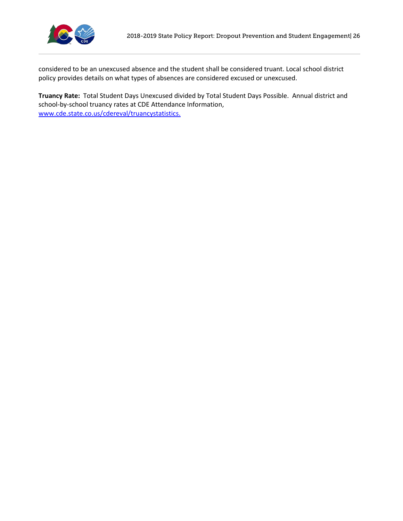![](_page_25_Picture_0.jpeg)

considered to be an unexcused absence and the student shall be considered truant. Local school district policy provides details on what types of absences are considered excused or unexcused.

**Truancy Rate:** Total Student Days Unexcused divided by Total Student Days Possible. Annual district and school-by-school truancy rates at [CDE Attendance Information,](http://www.cde.state.co.us/cdereval/truancystatistics) [www.cde.state.co.us/cdereval/truancystatistics.](http://www.cde.state.co.us/cdereval/truancystatistics)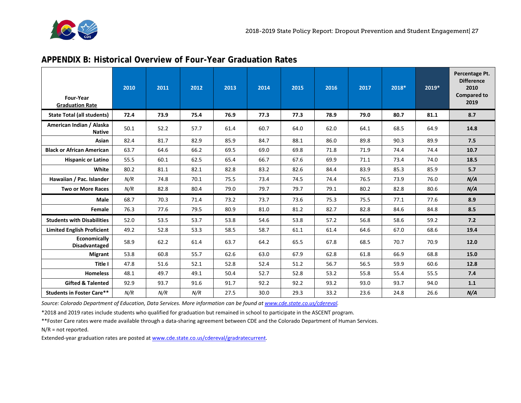![](_page_26_Picture_0.jpeg)

### **APPENDIX B: Historical Overview of Four-Year Graduation Rates**

<span id="page-26-0"></span>

| <b>Four-Year</b><br><b>Graduation Rate</b> | 2010 | 2011 | 2012 | 2013 | 2014 | 2015 | 2016 | 2017 | 2018* | 2019* | Percentage Pt.<br><b>Difference</b><br>2010<br><b>Compared to</b><br>2019 |
|--------------------------------------------|------|------|------|------|------|------|------|------|-------|-------|---------------------------------------------------------------------------|
| <b>State Total (all students)</b>          | 72.4 | 73.9 | 75.4 | 76.9 | 77.3 | 77.3 | 78.9 | 79.0 | 80.7  | 81.1  | 8.7                                                                       |
| American Indian / Alaska<br><b>Native</b>  | 50.1 | 52.2 | 57.7 | 61.4 | 60.7 | 64.0 | 62.0 | 64.1 | 68.5  | 64.9  | 14.8                                                                      |
| Asian                                      | 82.4 | 81.7 | 82.9 | 85.9 | 84.7 | 88.1 | 86.0 | 89.8 | 90.3  | 89.9  | 7.5                                                                       |
| <b>Black or African American</b>           | 63.7 | 64.6 | 66.2 | 69.5 | 69.0 | 69.8 | 71.8 | 71.9 | 74.4  | 74.4  | 10.7                                                                      |
| <b>Hispanic or Latino</b>                  | 55.5 | 60.1 | 62.5 | 65.4 | 66.7 | 67.6 | 69.9 | 71.1 | 73.4  | 74.0  | 18.5                                                                      |
| White                                      | 80.2 | 81.1 | 82.1 | 82.8 | 83.2 | 82.6 | 84.4 | 83.9 | 85.3  | 85.9  | 5.7                                                                       |
| Hawaiian / Pac. Islander                   | N/R  | 74.8 | 70.1 | 75.5 | 73.4 | 74.5 | 74.4 | 76.5 | 73.9  | 76.0  | N/A                                                                       |
| <b>Two or More Races</b>                   | N/R  | 82.8 | 80.4 | 79.0 | 79.7 | 79.7 | 79.1 | 80.2 | 82.8  | 80.6  | N/A                                                                       |
| <b>Male</b>                                | 68.7 | 70.3 | 71.4 | 73.2 | 73.7 | 73.6 | 75.3 | 75.5 | 77.1  | 77.6  | 8.9                                                                       |
| Female                                     | 76.3 | 77.6 | 79.5 | 80.9 | 81.0 | 81.2 | 82.7 | 82.8 | 84.6  | 84.8  | 8.5                                                                       |
| <b>Students with Disabilities</b>          | 52.0 | 53.5 | 53.7 | 53.8 | 54.6 | 53.8 | 57.2 | 56.8 | 58.6  | 59.2  | 7.2                                                                       |
| <b>Limited English Proficient</b>          | 49.2 | 52.8 | 53.3 | 58.5 | 58.7 | 61.1 | 61.4 | 64.6 | 67.0  | 68.6  | 19.4                                                                      |
| Economically<br><b>Disadvantaged</b>       | 58.9 | 62.2 | 61.4 | 63.7 | 64.2 | 65.5 | 67.8 | 68.5 | 70.7  | 70.9  | 12.0                                                                      |
| <b>Migrant</b>                             | 53.8 | 60.8 | 55.7 | 62.6 | 63.0 | 67.9 | 62.8 | 61.8 | 66.9  | 68.8  | 15.0                                                                      |
| Title I                                    | 47.8 | 51.6 | 52.1 | 52.8 | 52.4 | 51.2 | 56.7 | 56.5 | 59.9  | 60.6  | 12.8                                                                      |
| <b>Homeless</b>                            | 48.1 | 49.7 | 49.1 | 50.4 | 52.7 | 52.8 | 53.2 | 55.8 | 55.4  | 55.5  | 7.4                                                                       |
| <b>Gifted &amp; Talented</b>               | 92.9 | 93.7 | 91.6 | 91.7 | 92.2 | 92.2 | 93.2 | 93.0 | 93.7  | 94.0  | 1.1                                                                       |
| <b>Students in Foster Care**</b>           | N/R  | N/R  | N/R  | 27.5 | 30.0 | 29.3 | 33.2 | 23.6 | 24.8  | 26.6  | N/A                                                                       |

*Source: Colorado Department of Education, Data Services. More information can be found a[t www.cde.state.co.us/cdereval.](http://www.cde.state.co.us/cdereval)*

\*2018 and 2019 rates include students who qualified for graduation but remained in school to participate in the ASCENT program.

\*\*Foster Care rates were made available through a data-sharing agreement between CDE and the Colorado Department of Human Services.

N/R = not reported.

Extended-year graduation rates are posted a[t www.cde.state.co.us/cdereval/gradratecurrent.](http://www.cde.state.co.us/cdereval/gradratecurrent)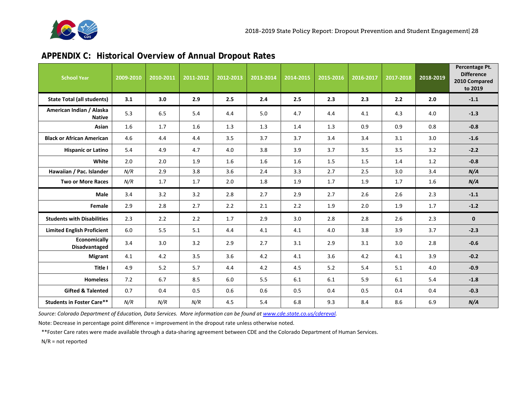![](_page_27_Picture_0.jpeg)

**APPENDIX C: Historical Overview of Annual Dropout Rates**

<span id="page-27-0"></span>

| <b>School Year</b>                        | 2009-2010 | 2010-2011 | 2011-2012 | 2012-2013 | 2013-2014 | 2014-2015 | 2015-2016 | 2016-2017 | 2017-2018 | 2018-2019 | Percentage Pt.<br><b>Difference</b><br>2010 Compared<br>to 2019 |
|-------------------------------------------|-----------|-----------|-----------|-----------|-----------|-----------|-----------|-----------|-----------|-----------|-----------------------------------------------------------------|
| <b>State Total (all students)</b>         | 3.1       | 3.0       | 2.9       | 2.5       | 2.4       | 2.5       | 2.3       | 2.3       | 2.2       | 2.0       | $-1.1$                                                          |
| American Indian / Alaska<br><b>Native</b> | 5.3       | 6.5       | 5.4       | 4.4       | 5.0       | 4.7       | 4.4       | 4.1       | 4.3       | 4.0       | $-1.3$                                                          |
| Asian                                     | 1.6       | 1.7       | 1.6       | 1.3       | 1.3       | 1.4       | 1.3       | 0.9       | 0.9       | 0.8       | $-0.8$                                                          |
| <b>Black or African American</b>          | 4.6       | 4.4       | 4.4       | 3.5       | 3.7       | 3.7       | 3.4       | 3.4       | 3.1       | 3.0       | $-1.6$                                                          |
| <b>Hispanic or Latino</b>                 | 5.4       | 4.9       | 4.7       | 4.0       | 3.8       | 3.9       | 3.7       | 3.5       | 3.5       | 3.2       | $-2.2$                                                          |
| White                                     | 2.0       | 2.0       | 1.9       | 1.6       | 1.6       | 1.6       | 1.5       | 1.5       | 1.4       | 1.2       | $-0.8$                                                          |
| Hawaiian / Pac. Islander                  | N/R       | 2.9       | 3.8       | 3.6       | 2.4       | 3.3       | 2.7       | 2.5       | 3.0       | 3.4       | N/A                                                             |
| <b>Two or More Races</b>                  | N/R       | 1.7       | 1.7       | 2.0       | 1.8       | 1.9       | 1.7       | 1.9       | 1.7       | 1.6       | N/A                                                             |
| Male                                      | 3.4       | 3.2       | 3.2       | 2.8       | 2.7       | 2.9       | 2.7       | 2.6       | 2.6       | 2.3       | $-1.1$                                                          |
| Female                                    | 2.9       | 2.8       | 2.7       | 2.2       | 2.1       | 2.2       | 1.9       | 2.0       | 1.9       | 1.7       | $-1.2$                                                          |
| <b>Students with Disabilities</b>         | 2.3       | 2.2       | 2.2       | 1.7       | 2.9       | 3.0       | 2.8       | 2.8       | 2.6       | 2.3       | $\mathbf{0}$                                                    |
| <b>Limited English Proficient</b>         | 6.0       | 5.5       | 5.1       | 4.4       | 4.1       | 4.1       | 4.0       | 3.8       | 3.9       | 3.7       | $-2.3$                                                          |
| Economically<br><b>Disadvantaged</b>      | 3.4       | 3.0       | 3.2       | 2.9       | 2.7       | 3.1       | 2.9       | 3.1       | 3.0       | 2.8       | $-0.6$                                                          |
| <b>Migrant</b>                            | 4.1       | 4.2       | 3.5       | 3.6       | 4.2       | 4.1       | 3.6       | 4.2       | 4.1       | 3.9       | $-0.2$                                                          |
| Title I                                   | 4.9       | 5.2       | 5.7       | 4.4       | 4.2       | 4.5       | 5.2       | 5.4       | 5.1       | 4.0       | $-0.9$                                                          |
| <b>Homeless</b>                           | 7.2       | 6.7       | 8.5       | 6.0       | 5.5       | 6.1       | 6.1       | 5.9       | 6.1       | 5.4       | $-1.8$                                                          |
| <b>Gifted &amp; Talented</b>              | 0.7       | 0.4       | 0.5       | 0.6       | 0.6       | 0.5       | 0.4       | 0.5       | 0.4       | 0.4       | $-0.3$                                                          |
| <b>Students in Foster Care**</b>          | N/R       | N/R       | N/R       | 4.5       | 5.4       | 6.8       | 9.3       | 8.4       | 8.6       | 6.9       | N/A                                                             |

*Source: Colorado Department of Education, Data Services. More information can be found at [www.cde.state.co.us/cdereval.](http://www.cde.state.co.us/cdereval)*

Note: Decrease in percentage point difference = improvement in the dropout rate unless otherwise noted.

\*\*Foster Care rates were made available through a data-sharing agreement between CDE and the Colorado Department of Human Services.

N/R = not reported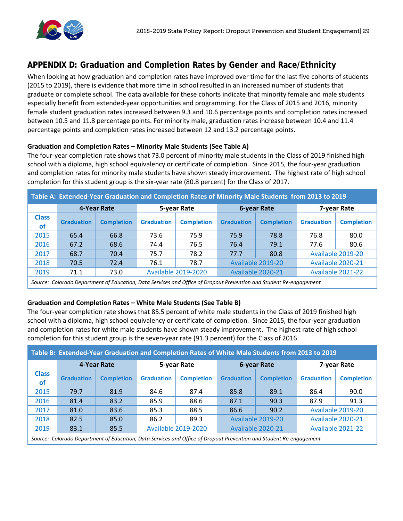![](_page_28_Picture_0.jpeg)

## <span id="page-28-0"></span>**APPENDIX D: Graduation and Completion Rates by Gender and Race/Ethnicity**

When looking at how graduation and completion rates have improved over time for the last five cohorts of students (2015 to 2019), there is evidence that more time in school resulted in an increased number of students that graduate or complete school. The data available for these cohorts indicate that minority female and male students especially benefit from extended-year opportunities and programming. For the Class of 2015 and 2016, minority female student graduation rates increased between 9.3 and 10.6 percentage points and completion rates increased between 10.5 and 11.8 percentage points. For minority male, graduation rates increase between 10.4 and 11.4 percentage points and completion rates increased between 12 and 13.2 percentage points.

#### **Graduation and Completion Rates – Minority Male Students (See Table A)**

The four-year completion rate shows that 73.0 percent of minority male students in the Class of 2019 finished high school with a diploma, high school equivalency or certificate of completion. Since 2015, the four-year graduation and completion rates for minority male students have shown steady improvement. The highest rate of high school completion for this student group is the six-year rate (80.8 percent) for the Class of 2017.

| Table A: Extended-Year Graduation and Completion Rates of Minority Male Students from 2013 to 2019 |                   |                   |                   |                            |                   |                           |                   |                   |  |  |  |
|----------------------------------------------------------------------------------------------------|-------------------|-------------------|-------------------|----------------------------|-------------------|---------------------------|-------------------|-------------------|--|--|--|
|                                                                                                    | 4-Year Rate       |                   | 5-year Rate       |                            |                   | 6-year Rate               | 7-year Rate       |                   |  |  |  |
| <b>Class</b><br><b>of</b>                                                                          | <b>Graduation</b> | <b>Completion</b> | <b>Graduation</b> | <b>Completion</b>          | <b>Graduation</b> | <b>Completion</b>         | <b>Graduation</b> | <b>Completion</b> |  |  |  |
| 2015                                                                                               | 65.4              | 66.8              | 73.6              | 75.9                       | 75.9              | 78.8                      | 76.8              | 80.0              |  |  |  |
| 2016                                                                                               | 67.2              | 68.6              | 74.4              | 76.5                       | 76.4              | 79.1                      | 77.6              | 80.6              |  |  |  |
| 2017                                                                                               | 68.7              | 70.4              | 75.7              | 78.2                       | 77.7              | Available 2019-20<br>80.8 |                   |                   |  |  |  |
| 2018                                                                                               | 70.5              | 72.4              | 76.1              | 78.7                       | Available 2019-20 |                           | Available 2020-21 |                   |  |  |  |
| 2019                                                                                               | 71.1              | 73.0              |                   | <b>Available 2019-2020</b> | Available 2020-21 |                           | Available 2021-22 |                   |  |  |  |
|                                                                                                    |                   |                   |                   |                            |                   |                           |                   |                   |  |  |  |

*Source: Colorado Department of Education, Data Services and Office of Dropout Prevention and Student Re-engagement*

#### **Graduation and Completion Rates – White Male Students (See Table B)**

The four-year completion rate shows that 85.5 percent of white male students in the Class of 2019 finished high school with a diploma, high school equivalency or certificate of completion. Since 2015, the four-year graduation and completion rates for white male students have shown steady improvement. The highest rate of high school completion for this student group is the seven-year rate (91.3 percent) for the Class of 2016.

| Table B: Extended-Year Graduation and Completion Rates of White Male Students from 2013 to 2019 |                                                                                                                    |                   |                   |                            |                   |                    |                   |                   |  |  |  |
|-------------------------------------------------------------------------------------------------|--------------------------------------------------------------------------------------------------------------------|-------------------|-------------------|----------------------------|-------------------|--------------------|-------------------|-------------------|--|--|--|
|                                                                                                 | 4-Year Rate                                                                                                        |                   | 5-year Rate       |                            |                   | <b>6-year Rate</b> | 7-year Rate       |                   |  |  |  |
| <b>Class</b><br><b>of</b>                                                                       | <b>Graduation</b>                                                                                                  | <b>Completion</b> | <b>Graduation</b> | <b>Completion</b>          | <b>Graduation</b> | <b>Completion</b>  | <b>Graduation</b> | <b>Completion</b> |  |  |  |
| 2015                                                                                            | 79.7                                                                                                               | 81.9              | 84.6              | 87.4                       | 85.8              | 89.1               | 86.4              | 90.0              |  |  |  |
| 2016                                                                                            | 81.4                                                                                                               | 83.2              | 85.9              | 88.6                       | 87.1              | 90.3               | 87.9              | 91.3              |  |  |  |
| 2017                                                                                            | 81.0                                                                                                               | 83.6              | 85.3              | 88.5                       | 86.6              | 90.2               |                   | Available 2019-20 |  |  |  |
| 2018                                                                                            | 82.5                                                                                                               | 85.0              | 86.2              | 89.3                       | Available 2019-20 |                    | Available 2020-21 |                   |  |  |  |
| 2019                                                                                            | 83.1                                                                                                               | 85.5              |                   | <b>Available 2019-2020</b> |                   | Available 2020-21  | Available 2021-22 |                   |  |  |  |
|                                                                                                 | Source: Colorado Department of Education, Data Services and Office of Dropout Prevention and Student Re-engagement |                   |                   |                            |                   |                    |                   |                   |  |  |  |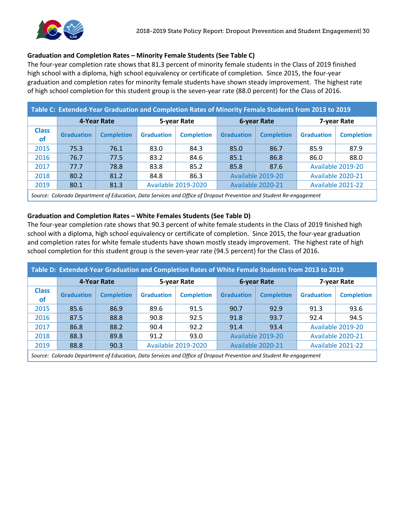![](_page_29_Picture_0.jpeg)

#### **Graduation and Completion Rates – Minority Female Students (See Table C)**

The four-year completion rate shows that 81.3 percent of minority female students in the Class of 2019 finished high school with a diploma, high school equivalency or certificate of completion. Since 2015, the four-year graduation and completion rates for minority female students have shown steady improvement. The highest rate of high school completion for this student group is the seven-year rate (88.0 percent) for the Class of 2016.

| Table C: Extended-Year Graduation and Completion Rates of Minority Female Students from 2013 to 2019 |                   |                   |                   |                            |                   |                   |                   |                   |  |  |  |
|------------------------------------------------------------------------------------------------------|-------------------|-------------------|-------------------|----------------------------|-------------------|-------------------|-------------------|-------------------|--|--|--|
|                                                                                                      | 4-Year Rate       |                   | 5-year Rate       |                            |                   | 6-year Rate       | 7-year Rate       |                   |  |  |  |
| <b>Class</b><br><b>of</b>                                                                            | <b>Graduation</b> | <b>Completion</b> | <b>Graduation</b> | <b>Completion</b>          | <b>Graduation</b> | <b>Completion</b> | <b>Graduation</b> | <b>Completion</b> |  |  |  |
| 2015                                                                                                 | 75.3              | 76.1              | 83.0              | 84.3                       | 85.0              | 86.7              | 85.9              | 87.9              |  |  |  |
| 2016                                                                                                 | 76.7              | 77.5              | 83.2              | 84.6                       | 85.1              | 86.8              | 86.0              | 88.0              |  |  |  |
| 2017                                                                                                 | 77.7              | 78.8              | 83.8              | 85.2                       | 85.8              | 87.6              |                   | Available 2019-20 |  |  |  |
| 2018                                                                                                 | 80.2              | 81.2              | 84.8              | 86.3                       | Available 2019-20 |                   | Available 2020-21 |                   |  |  |  |
| 2019                                                                                                 | 80.1              | 81.3              |                   | <b>Available 2019-2020</b> |                   | Available 2020-21 | Available 2021-22 |                   |  |  |  |
|                                                                                                      |                   |                   |                   |                            |                   |                   |                   |                   |  |  |  |

*Source: Colorado Department of Education, Data Services and Office of Dropout Prevention and Student Re-engagement*

#### **Graduation and Completion Rates – White Females Students (See Table D)**

The four-year completion rate shows that 90.3 percent of white female students in the Class of 2019 finished high school with a diploma, high school equivalency or certificate of completion. Since 2015, the four-year graduation and completion rates for white female students have shown mostly steady improvement. The highest rate of high school completion for this student group is the seven-year rate (94.5 percent) for the Class of 2016.

| Table D: Extended-Year Graduation and Completion Rates of White Female Students from 2013 to 2019 |                   |                   |                   |                                                                                                                 |                   |                   |                   |                   |  |  |  |  |
|---------------------------------------------------------------------------------------------------|-------------------|-------------------|-------------------|-----------------------------------------------------------------------------------------------------------------|-------------------|-------------------|-------------------|-------------------|--|--|--|--|
|                                                                                                   | 4-Year Rate       |                   | 5-year Rate       |                                                                                                                 | 6-year Rate       |                   | 7-year Rate       |                   |  |  |  |  |
| <b>Class</b><br><b>of</b>                                                                         | <b>Graduation</b> | <b>Completion</b> | <b>Graduation</b> | <b>Completion</b>                                                                                               | <b>Graduation</b> | <b>Completion</b> | <b>Graduation</b> | <b>Completion</b> |  |  |  |  |
| 2015                                                                                              | 85.6              | 86.9              | 89.6              | 91.5                                                                                                            | 90.7              | 92.9              | 91.3              | 93.6              |  |  |  |  |
| 2016                                                                                              | 87.5              | 88.8              | 90.8              | 92.5                                                                                                            | 91.8              | 93.7              | 92.4              | 94.5              |  |  |  |  |
| 2017                                                                                              | 86.8              | 88.2              | 90.4              | 92.2                                                                                                            | 91.4              | 93.4              |                   | Available 2019-20 |  |  |  |  |
| 2018                                                                                              | 88.3              | 89.8              | 91.2              | 93.0                                                                                                            | Available 2019-20 |                   | Available 2020-21 |                   |  |  |  |  |
| 2019                                                                                              | 88.8              | 90.3              |                   | <b>Available 2019-2020</b>                                                                                      |                   | Available 2020-21 |                   | Available 2021-22 |  |  |  |  |
| $\sim$ $\sim$                                                                                     |                   |                   |                   | هنا من المقاطر المستخدمات المستحدة المستخدمات المستخدمات المستخدمات المستخدمات المستخدمات المستخدمات المستخدمات |                   |                   |                   |                   |  |  |  |  |

*Source: Colorado Department of Education, Data Services and Office of Dropout Prevention and Student Re-engagement*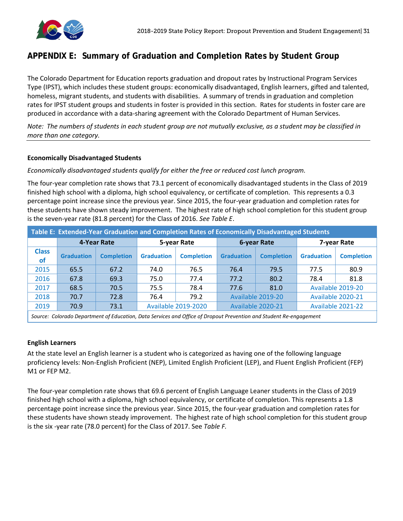![](_page_30_Picture_0.jpeg)

## <span id="page-30-0"></span>**APPENDIX E: Summary of Graduation and Completion Rates by Student Group**

The Colorado Department for Education reports graduation and dropout rates by Instructional Program Services Type (IPST), which includes these student groups: economically disadvantaged, English learners, gifted and talented, homeless, migrant students, and students with disabilities. A summary of trends in graduation and completion rates for IPST student groups and students in foster is provided in this section. Rates for students in foster care are produced in accordance with a data-sharing agreement with the Colorado Department of Human Services.

*Note: The numbers of students in each student group are not mutually exclusive, as a student may be classified in more than one category.* 

#### **Economically Disadvantaged Students**

*Economically disadvantaged students qualify for either the free or reduced cost lunch program.* 

The four-year completion rate shows that 73.1 percent of economically disadvantaged students in the Class of 2019 finished high school with a diploma, high school equivalency, or certificate of completion. This represents a 0.3 percentage point increase since the previous year. Since 2015, the four-year graduation and completion rates for these students have shown steady improvement. The highest rate of high school completion for this student group is the seven-year rate (81.8 percent) for the Class of 2016. *See Table E*.

| Table E: Extended-Year Graduation and Completion Rates of Economically Disadvantaged Students |                   |                   |                            |                   |                    |                   |                   |                   |  |  |  |  |
|-----------------------------------------------------------------------------------------------|-------------------|-------------------|----------------------------|-------------------|--------------------|-------------------|-------------------|-------------------|--|--|--|--|
|                                                                                               | 4-Year Rate       |                   | 5-year Rate                |                   | <b>6-year Rate</b> |                   | 7-year Rate       |                   |  |  |  |  |
| <b>Class</b><br><b>of</b>                                                                     | <b>Graduation</b> | <b>Completion</b> | <b>Graduation</b>          | <b>Completion</b> | <b>Graduation</b>  | <b>Completion</b> | <b>Graduation</b> | <b>Completion</b> |  |  |  |  |
| 2015                                                                                          | 65.5              | 67.2              | 74.0                       | 76.5              | 76.4               | 79.5              | 77.5              | 80.9              |  |  |  |  |
| 2016                                                                                          | 67.8              | 69.3              | 75.0                       | 77.4              | 77.2               | 80.2              | 78.4              | 81.8              |  |  |  |  |
| 2017                                                                                          | 68.5              | 70.5              | 75.5                       | 78.4              | 77.6               | 81.0              |                   | Available 2019-20 |  |  |  |  |
| 2018                                                                                          | 70.7              | 72.8              | 76.4                       | 79.2              | Available 2019-20  |                   | Available 2020-21 |                   |  |  |  |  |
| 2019                                                                                          | 70.9              | 73.1              |                            |                   |                    |                   | Available 2021-22 |                   |  |  |  |  |
|                                                                                               |                   |                   | <b>Available 2019-2020</b> |                   | Available 2020-21  |                   |                   |                   |  |  |  |  |

*Source: Colorado Department of Education, Data Services and Office of Dropout Prevention and Student Re-engagement*

#### **English Learners**

At the state level an English learner is a student who is categorized as having one of the following language proficiency levels: Non-English Proficient (NEP), Limited English Proficient (LEP), and Fluent English Proficient (FEP) M1 or FEP M2.

The four-year completion rate shows that 69.6 percent of English Language Leaner students in the Class of 2019 finished high school with a diploma, high school equivalency, or certificate of completion. This represents a 1.8 percentage point increase since the previous year. Since 2015, the four-year graduation and completion rates for these students have shown steady improvement. The highest rate of high school completion for this student group is the six -year rate (78.0 percent) for the Class of 2017. See *Table F.*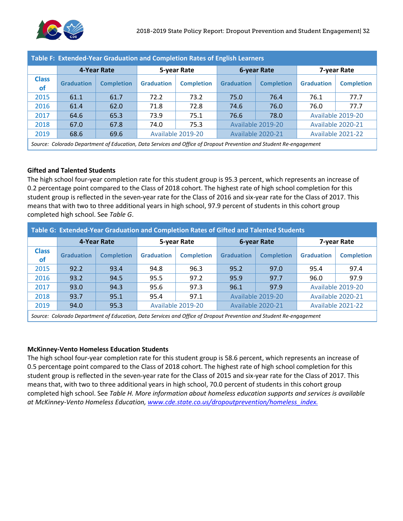![](_page_31_Picture_0.jpeg)

| Table F: Extended-Year Graduation and Completion Rates of English Learners |                                                                                                                    |                   |                   |                                        |                   |                   |                   |                   |  |  |  |
|----------------------------------------------------------------------------|--------------------------------------------------------------------------------------------------------------------|-------------------|-------------------|----------------------------------------|-------------------|-------------------|-------------------|-------------------|--|--|--|
|                                                                            | 4-Year Rate                                                                                                        |                   |                   | 5-year Rate                            |                   | 6-year Rate       |                   | 7-year Rate       |  |  |  |
| <b>Class</b><br><b>of</b>                                                  | <b>Graduation</b>                                                                                                  | <b>Completion</b> | <b>Graduation</b> | <b>Completion</b>                      | <b>Graduation</b> | <b>Completion</b> | <b>Graduation</b> | <b>Completion</b> |  |  |  |
| 2015                                                                       | 61.1                                                                                                               | 61.7              | 72.2              | 73.2                                   | 75.0              | 76.4              | 76.1              | 77.7              |  |  |  |
| 2016                                                                       | 61.4                                                                                                               | 62.0              | 71.8              | 72.8                                   | 74.6              | 76.0              | 76.0              | 77.7              |  |  |  |
| 2017                                                                       | 64.6                                                                                                               | 65.3              | 73.9              | 75.1                                   | 76.6              | 78.0              |                   | Available 2019-20 |  |  |  |
| 2018                                                                       | 67.0                                                                                                               | 67.8              | 74.0              | 75.3                                   | Available 2019-20 |                   | Available 2020-21 |                   |  |  |  |
| 2019                                                                       | 68.6                                                                                                               | 69.6              |                   | Available 2019-20<br>Available 2020-21 |                   |                   | Available 2021-22 |                   |  |  |  |
|                                                                            | Source: Colorado Department of Education, Data Services and Office of Dropout Prevention and Student Re-engagement |                   |                   |                                        |                   |                   |                   |                   |  |  |  |

#### **Gifted and Talented Students**

The high school four-year completion rate for this student group is 95.3 percent, which represents an increase of 0.2 percentage point compared to the Class of 2018 cohort. The highest rate of high school completion for this student group is reflected in the seven-year rate for the Class of 2016 and six-year rate for the Class of 2017. This means that with two to three additional years in high school, 97.9 percent of students in this cohort group completed high school. See *Table G*.

| Table G: Extended-Year Graduation and Completion Rates of Gifted and Talented Students |                   |                   |                   |                   |                   |                   |                   |                   |  |  |  |  |
|----------------------------------------------------------------------------------------|-------------------|-------------------|-------------------|-------------------|-------------------|-------------------|-------------------|-------------------|--|--|--|--|
|                                                                                        | 4-Year Rate       |                   | 5-year Rate       |                   | 6-year Rate       |                   | 7-year Rate       |                   |  |  |  |  |
| <b>Class</b><br><b>of</b>                                                              | <b>Graduation</b> | <b>Completion</b> | <b>Graduation</b> | <b>Completion</b> | <b>Graduation</b> | <b>Completion</b> | <b>Graduation</b> | <b>Completion</b> |  |  |  |  |
| 2015                                                                                   | 92.2              | 93.4              | 94.8              | 96.3              | 95.2              | 97.0              | 95.4              | 97.4              |  |  |  |  |
| 2016                                                                                   | 93.2              | 94.5              | 95.5              | 97.2              | 95.9              | 97.7              | 96.0              | 97.9              |  |  |  |  |
| 2017                                                                                   | 93.0              | 94.3              | 95.6              | 97.3              | 96.1              | 97.9              |                   | Available 2019-20 |  |  |  |  |
| 2018                                                                                   | 93.7              | 95.1              | 95.4              | 97.1              | Available 2019-20 |                   | Available 2020-21 |                   |  |  |  |  |
| 2019                                                                                   | 94.0              | 95.3              |                   | Available 2019-20 |                   | Available 2020-21 |                   | Available 2021-22 |  |  |  |  |
|                                                                                        |                   |                   |                   |                   |                   |                   |                   |                   |  |  |  |  |

*Source: Colorado Department of Education, Data Services and Office of Dropout Prevention and Student Re-engagement*

#### **McKinney-Vento Homeless Education Students**

The high school four-year completion rate for this student group is 58.6 percent, which represents an increase of 0.5 percentage point compared to the Class of 2018 cohort. The highest rate of high school completion for this student group is reflected in the seven-year rate for the Class of 2015 and six-year rate for the Class of 2017. This means that, with two to three additional years in high school, 70.0 percent of students in this cohort group completed high school. See *Table H. More information about homeless education supports and services is available at [McKinney-Vento Homeless Education, www.cde.state.co.us/dropoutprevention/homeless\\_index.](http://www.cde.state.co.us/dropoutprevention/homeless_index.)*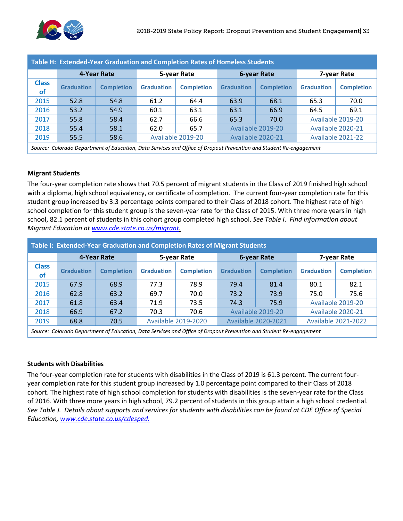![](_page_32_Picture_0.jpeg)

| Table H: Extended-Year Graduation and Completion Rates of Homeless Students |                                                                                                                    |                   |                   |                   |                   |                    |                   |                   |  |  |  |
|-----------------------------------------------------------------------------|--------------------------------------------------------------------------------------------------------------------|-------------------|-------------------|-------------------|-------------------|--------------------|-------------------|-------------------|--|--|--|
|                                                                             | 4-Year Rate                                                                                                        |                   |                   | 5-year Rate       |                   | <b>6-year Rate</b> |                   | 7-year Rate       |  |  |  |
| <b>Class</b><br><b>of</b>                                                   | <b>Graduation</b>                                                                                                  | <b>Completion</b> | <b>Graduation</b> | <b>Completion</b> | <b>Graduation</b> | <b>Completion</b>  | <b>Graduation</b> | <b>Completion</b> |  |  |  |
| 2015                                                                        | 52.8                                                                                                               | 54.8              | 61.2              | 64.4              | 63.9              | 68.1               | 65.3              | 70.0              |  |  |  |
| 2016                                                                        | 53.2                                                                                                               | 54.9              | 60.1              | 63.1              | 63.1              | 66.9               | 64.5              | 69.1              |  |  |  |
| 2017                                                                        | 55.8                                                                                                               | 58.4              | 62.7              | 66.6              | 65.3              | 70.0               |                   | Available 2019-20 |  |  |  |
| 2018                                                                        | 55.4                                                                                                               | 58.1              | 62.0              | 65.7              | Available 2019-20 |                    | Available 2020-21 |                   |  |  |  |
| 2019                                                                        | 55.5                                                                                                               | 58.6              |                   | Available 2019-20 | Available 2020-21 |                    | Available 2021-22 |                   |  |  |  |
|                                                                             | Source: Colorado Department of Education, Data Services and Office of Dropout Prevention and Student Re-engagement |                   |                   |                   |                   |                    |                   |                   |  |  |  |

#### **Migrant Students**

The four-year completion rate shows that 70.5 percent of migrant students in the Class of 2019 finished high school with a diploma, high school equivalency, or certificate of completion. The current four-year completion rate for this student group increased by 3.3 percentage points compared to their Class of 2018 cohort. The highest rate of high school completion for this student group is the seven-year rate for the Class of 2015. With three more years in high school, 82.1 percent of students in this cohort group completed high school. *See Table I*. *Find information about Migrant Education at [www.cde.state.co.us/migrant.](http://www.cde.state.co.us/migrant)*

| Table I: Extended-Year Graduation and Completion Rates of Migrant Students |                                                                                                                    |                            |                   |                            |                            |                   |                   |                            |  |  |  |
|----------------------------------------------------------------------------|--------------------------------------------------------------------------------------------------------------------|----------------------------|-------------------|----------------------------|----------------------------|-------------------|-------------------|----------------------------|--|--|--|
|                                                                            |                                                                                                                    | 4-Year Rate<br>5-year Rate |                   | 6-year Rate                |                            | 7-year Rate       |                   |                            |  |  |  |
| <b>Class</b><br><b>of</b>                                                  | <b>Graduation</b>                                                                                                  | <b>Completion</b>          | <b>Graduation</b> | <b>Completion</b>          | <b>Graduation</b>          | <b>Completion</b> | <b>Graduation</b> | <b>Completion</b>          |  |  |  |
| 2015                                                                       | 67.9                                                                                                               | 68.9                       | 77.3              | 78.9                       | 79.4                       | 81.4              | 80.1              | 82.1                       |  |  |  |
| 2016                                                                       | 62.8                                                                                                               | 63.2                       | 69.7              | 70.0                       | 73.2                       | 73.9              | 75.0              | 75.6                       |  |  |  |
| 2017                                                                       | 61.8                                                                                                               | 63.4                       | 71.9              | 73.5                       | 74.3                       | 75.9              |                   | Available 2019-20          |  |  |  |
| 2018                                                                       | 66.9                                                                                                               | 67.2                       | 70.3              | 70.6                       | Available 2019-20          |                   | Available 2020-21 |                            |  |  |  |
| 2019                                                                       | 68.8                                                                                                               | 70.5                       |                   | <b>Available 2019-2020</b> | <b>Available 2020-2021</b> |                   |                   | <b>Available 2021-2022</b> |  |  |  |
|                                                                            | Source: Colorado Department of Education, Data Services and Office of Dropout Prevention and Student Re-engagement |                            |                   |                            |                            |                   |                   |                            |  |  |  |

#### **Students with Disabilities**

The four-year completion rate for students with disabilities in the Class of 2019 is 61.3 percent. The current fouryear completion rate for this student group increased by 1.0 percentage point compared to their Class of 2018 cohort. The highest rate of high school completion for students with disabilities is the seven-year rate for the Class of 2016. With three more years in high school, 79.2 percent of students in this group attain a high school credential. *See Table J. Details about supports and services for students with disabilities can be found at CDE Office of Special Education, [www.cde.state.co.us/cdesped.](http://www.cde.state.co.us/cdesped)*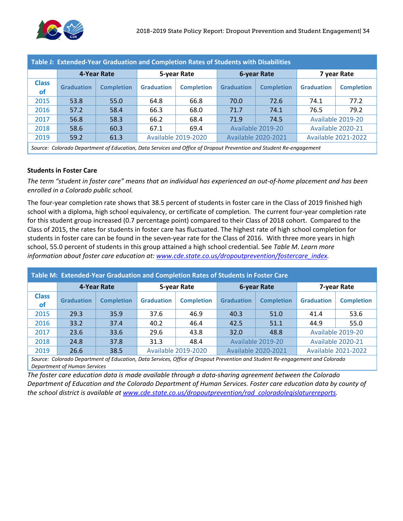![](_page_33_Picture_0.jpeg)

| Table J: Extended-Year Graduation and Completion Rates of Students with Disabilities |                                                                                                                    |                   |                   |                            |                            |                   |                   |                            |  |  |  |
|--------------------------------------------------------------------------------------|--------------------------------------------------------------------------------------------------------------------|-------------------|-------------------|----------------------------|----------------------------|-------------------|-------------------|----------------------------|--|--|--|
|                                                                                      | 4-Year Rate                                                                                                        |                   | 5-year Rate       |                            | 6-year Rate                |                   | 7 year Rate       |                            |  |  |  |
| <b>Class</b><br>of                                                                   | <b>Graduation</b>                                                                                                  | <b>Completion</b> | <b>Graduation</b> | <b>Completion</b>          | <b>Graduation</b>          | <b>Completion</b> | <b>Graduation</b> | <b>Completion</b>          |  |  |  |
| 2015                                                                                 | 53.8                                                                                                               | 55.0              | 64.8              | 66.8                       | 70.0                       | 72.6              | 74.1              | 77.2                       |  |  |  |
| 2016                                                                                 | 57.2                                                                                                               | 58.4              | 66.3              | 68.0                       | 71.7                       | 74.1              | 76.5              | 79.2                       |  |  |  |
| 2017                                                                                 | 56.8                                                                                                               | 58.3              | 66.2              | 68.4                       | 71.9                       | 74.5              |                   | Available 2019-20          |  |  |  |
| 2018                                                                                 | 58.6                                                                                                               | 60.3              | 67.1              | 69.4                       | Available 2019-20          |                   | Available 2020-21 |                            |  |  |  |
| 2019                                                                                 | 59.2                                                                                                               | 61.3              |                   | <b>Available 2019-2020</b> | <b>Available 2020-2021</b> |                   |                   | <b>Available 2021-2022</b> |  |  |  |
|                                                                                      | Source: Colorado Department of Education, Data Services and Office of Dropout Prevention and Student Re-engagement |                   |                   |                            |                            |                   |                   |                            |  |  |  |

#### **Students in Foster Care**

*The term "student in foster care" means that an individual has experienced an out-of-home placement and has been enrolled in a Colorado public school.*

The four-year completion rate shows that 38.5 percent of students in foster care in the Class of 2019 finished high school with a diploma, high school equivalency, or certificate of completion. The current four-year completion rate for this student group increased (0.7 percentage point) compared to their Class of 2018 cohort. Compared to the Class of 2015, the rates for students in foster care has fluctuated. The highest rate of high school completion for students in foster care can be found in the seven-year rate for the Class of 2016. With three more years in high school, 55.0 percent of students in this group attained a high school credential. See *Table M*. *Learn more information about foster care education at: www.cde.state.co.us/dropoutprevention/fostercare\_index.*

| Table M: Extended-Year Graduation and Completion Rates of Students in Foster Care |                   |                                                                                                                    |                   |                            |                   |                            |                            |                   |  |  |  |  |
|-----------------------------------------------------------------------------------|-------------------|--------------------------------------------------------------------------------------------------------------------|-------------------|----------------------------|-------------------|----------------------------|----------------------------|-------------------|--|--|--|--|
|                                                                                   | 4-Year Rate       |                                                                                                                    | 5-year Rate       |                            | 6-year Rate       |                            | 7-year Rate                |                   |  |  |  |  |
| <b>Class</b><br><b>of</b>                                                         | <b>Graduation</b> | <b>Completion</b>                                                                                                  | <b>Graduation</b> | <b>Completion</b>          | <b>Graduation</b> | <b>Completion</b>          | <b>Graduation</b>          | <b>Completion</b> |  |  |  |  |
| 2015                                                                              | 29.3              | 35.9                                                                                                               | 37.6              | 46.9                       | 40.3              | 51.0                       | 41.4                       | 53.6              |  |  |  |  |
| 2016                                                                              | 33.2              | 37.4                                                                                                               | 40.2              | 46.4                       | 42.5              | 51.1                       | 44.9                       | 55.0              |  |  |  |  |
| 2017                                                                              | 23.6              | 33.6                                                                                                               | 29.6              | 43.8                       | 32.0              | 48.8                       |                            | Available 2019-20 |  |  |  |  |
| 2018                                                                              | 24.8              | 37.8                                                                                                               | 31.3              | 48.4                       | Available 2019-20 |                            | Available 2020-21          |                   |  |  |  |  |
| 2019                                                                              | 26.6              | 38.5                                                                                                               |                   | <b>Available 2019-2020</b> |                   | <b>Available 2020-2021</b> | <b>Available 2021-2022</b> |                   |  |  |  |  |
|                                                                                   |                   | Course Citizente Boundary of Education Board Control Office of Boundary Boundary and Chident Boundary and Colombia |                   |                            |                   |                            |                            |                   |  |  |  |  |

*Source: Colorado Department of Education, Data Services, Office of Dropout Prevention and Student Re-engagement and Colorado Department of Human Services*

*The foster care education data is made available through a data-sharing agreement between the Colorado Department of Education and the Colorado Department of Human Services. Foster care education data by county of the school district is available a[t www.cde.state.co.us/dropoutprevention/rad\\_coloradolegislaturereports.](http://www.cde.state.co.us/dropoutprevention/rad_coloradolegislaturereports)*